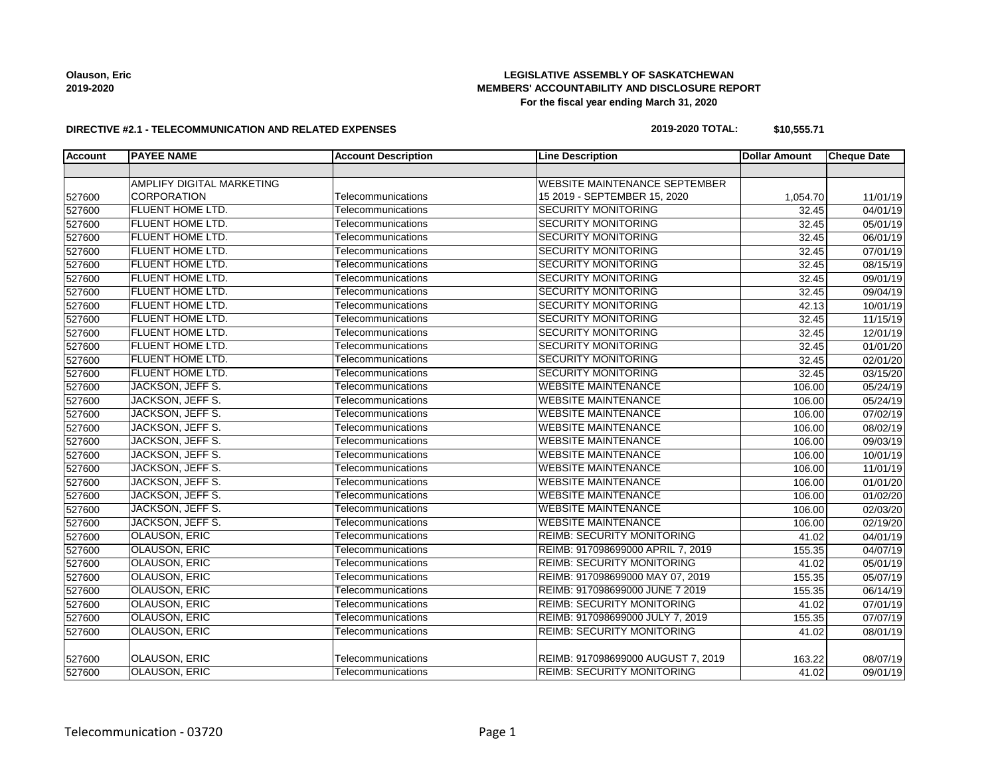**Olauson, Eric 2019-2020**

### **LEGISLATIVE ASSEMBLY OF SASKATCHEWAN MEMBERS' ACCOUNTABILITY AND DISCLOSURE REPORT For the fiscal year ending March 31, 2020**

#### **DIRECTIVE #2.1 - TELECOMMUNICATION AND RELATED EXPENSES**

### **2019-2020 TOTAL: \$10,555.71**

| <b>Account</b> | <b>PAYEE NAME</b>         | <b>Account Description</b> | <b>Line Description</b>              | <b>Dollar Amount</b> | <b>Cheque Date</b>    |
|----------------|---------------------------|----------------------------|--------------------------------------|----------------------|-----------------------|
|                |                           |                            |                                      |                      |                       |
|                | AMPLIFY DIGITAL MARKETING |                            | <b>WEBSITE MAINTENANCE SEPTEMBER</b> |                      |                       |
| 527600         | <b>CORPORATION</b>        | Telecommunications         | 15 2019 - SEPTEMBER 15, 2020         | 1,054.70             | 11/01/19              |
| 527600         | FLUENT HOME LTD.          | Telecommunications         | <b>SECURITY MONITORING</b>           | 32.45                | 04/01/19              |
| 527600         | FLUENT HOME LTD.          | Telecommunications         | <b>SECURITY MONITORING</b>           | 32.45                | 05/01/19              |
| 527600         | <b>FLUENT HOME LTD.</b>   | Telecommunications         | <b>SECURITY MONITORING</b>           | 32.45                | 06/01/19              |
| 527600         | <b>FLUENT HOME LTD.</b>   | Telecommunications         | <b>SECURITY MONITORING</b>           | 32.45                | 07/01/19              |
| 527600         | <b>FLUENT HOME LTD.</b>   | Telecommunications         | <b>SECURITY MONITORING</b>           | 32.45                | 08/15/19              |
| 527600         | FLUENT HOME LTD.          | Telecommunications         | <b>SECURITY MONITORING</b>           | 32.45                | 09/01/19              |
| 527600         | FLUENT HOME LTD.          | Telecommunications         | <b>SECURITY MONITORING</b>           | 32.45                | 09/04/19              |
| 527600         | FLUENT HOME LTD.          | Telecommunications         | <b>SECURITY MONITORING</b>           | 42.13                | 10/01/19              |
| 527600         | FLUENT HOME LTD.          | Telecommunications         | <b>SECURITY MONITORING</b>           | 32.45                | 11/15/19              |
| 527600         | <b>FLUENT HOME LTD.</b>   | Telecommunications         | <b>SECURITY MONITORING</b>           | 32.45                | 12/01/19              |
| 527600         | FLUENT HOME LTD.          | Telecommunications         | <b>SECURITY MONITORING</b>           | 32.45                | 01/01/20              |
| 527600         | FLUENT HOME LTD.          | Telecommunications         | <b>SECURITY MONITORING</b>           | 32.45                | 02/01/20              |
| 527600         | FLUENT HOME LTD.          | Telecommunications         | <b>SECURITY MONITORING</b>           | 32.45                | 03/15/20              |
| 527600         | JACKSON, JEFF S.          | Telecommunications         | <b>WEBSITE MAINTENANCE</b>           | 106.00               | 05/24/19              |
| 527600         | <b>JACKSON, JEFF S.</b>   | Telecommunications         | <b>WEBSITE MAINTENANCE</b>           | 106.00               | $\overline{05/24/19}$ |
| 527600         | JACKSON, JEFF S.          | Telecommunications         | <b>WEBSITE MAINTENANCE</b>           | 106.00               | 07/02/19              |
| 527600         | JACKSON, JEFF S.          | Telecommunications         | <b>WEBSITE MAINTENANCE</b>           | 106.00               | 08/02/19              |
| 527600         | JACKSON, JEFF S.          | Telecommunications         | <b>WEBSITE MAINTENANCE</b>           | 106.00               | 09/03/19              |
| 527600         | JACKSON, JEFF S.          | Telecommunications         | <b>WEBSITE MAINTENANCE</b>           | 106.00               | 10/01/19              |
| 527600         | <b>JACKSON, JEFF S.</b>   | Telecommunications         | <b>WEBSITE MAINTENANCE</b>           | 106.00               | 11/01/19              |
| 527600         | JACKSON, JEFF S.          | Telecommunications         | <b>WEBSITE MAINTENANCE</b>           | 106.00               | 01/01/20              |
| 527600         | JACKSON, JEFF S.          | Telecommunications         | <b>WEBSITE MAINTENANCE</b>           | 106.00               | 01/02/20              |
| 527600         | JACKSON, JEFF S.          | Telecommunications         | <b>WEBSITE MAINTENANCE</b>           | 106.00               | 02/03/20              |
| 527600         | JACKSON, JEFF S.          | Telecommunications         | <b>WEBSITE MAINTENANCE</b>           | 106.00               | 02/19/20              |
| 527600         | <b>OLAUSON, ERIC</b>      | Telecommunications         | <b>REIMB: SECURITY MONITORING</b>    | 41.02                | 04/01/19              |
| 527600         | <b>OLAUSON, ERIC</b>      | Telecommunications         | REIMB: 917098699000 APRIL 7, 2019    | 155.35               | 04/07/19              |
| 527600         | <b>OLAUSON, ERIC</b>      | Telecommunications         | <b>REIMB: SECURITY MONITORING</b>    | 41.02                | 05/01/19              |
| 527600         | <b>OLAUSON, ERIC</b>      | Telecommunications         | REIMB: 917098699000 MAY 07, 2019     | 155.35               | 05/07/19              |
| 527600         | OLAUSON, ERIC             | Telecommunications         | REIMB: 917098699000 JUNE 7 2019      | 155.35               | 06/14/19              |
| 527600         | OLAUSON, ERIC             | Telecommunications         | <b>REIMB: SECURITY MONITORING</b>    | 41.02                | 07/01/19              |
| 527600         | <b>OLAUSON, ERIC</b>      | Telecommunications         | REIMB: 917098699000 JULY 7, 2019     | 155.35               | 07/07/19              |
| 527600         | <b>OLAUSON, ERIC</b>      | Telecommunications         | <b>REIMB: SECURITY MONITORING</b>    | 41.02                | 08/01/19              |
| 527600         | OLAUSON, ERIC             | Telecommunications         | REIMB: 917098699000 AUGUST 7, 2019   | 163.22               | 08/07/19              |
| 527600         | <b>OLAUSON, ERIC</b>      | Telecommunications         | <b>REIMB: SECURITY MONITORING</b>    | 41.02                | 09/01/19              |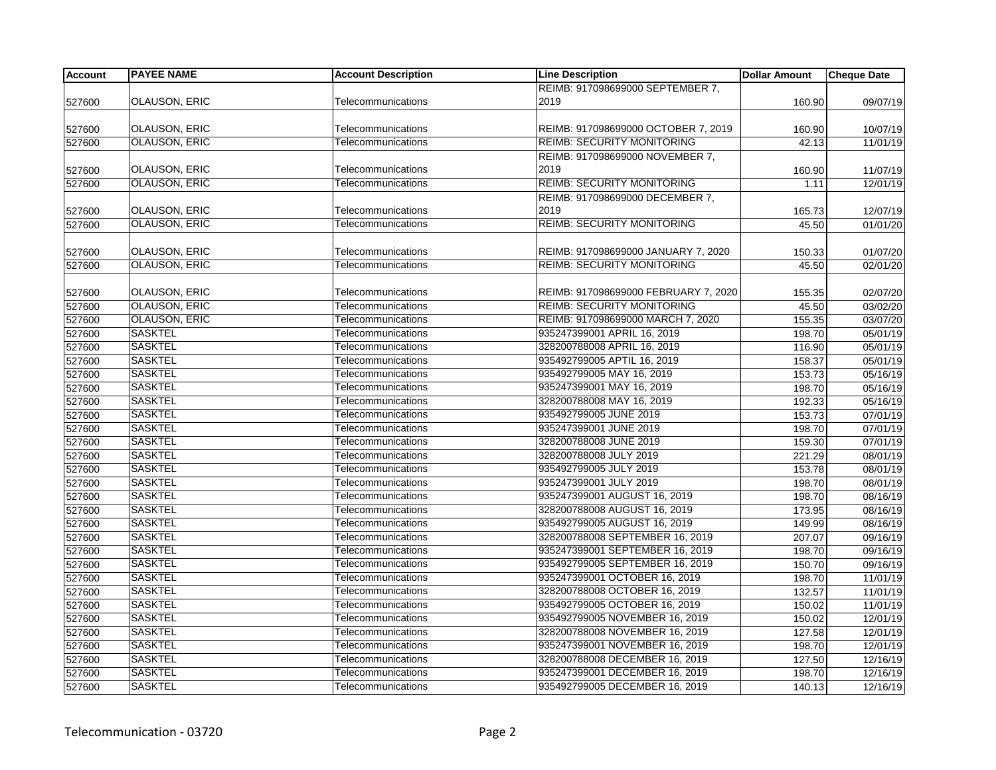| <b>Account</b> | <b>PAYEE NAME</b>    | <b>Account Description</b> | <b>Line Description</b>              | <b>Dollar Amount</b> | <b>Cheque Date</b> |
|----------------|----------------------|----------------------------|--------------------------------------|----------------------|--------------------|
|                |                      |                            | REIMB: 917098699000 SEPTEMBER 7,     |                      |                    |
| 527600         | <b>OLAUSON, ERIC</b> | Telecommunications         | 2019                                 | 160.90               | 09/07/19           |
|                |                      |                            |                                      |                      |                    |
| 527600         | <b>OLAUSON, ERIC</b> | Telecommunications         | REIMB: 917098699000 OCTOBER 7, 2019  | 160.90               | 10/07/19           |
| 527600         | <b>OLAUSON, ERIC</b> | Telecommunications         | <b>REIMB: SECURITY MONITORING</b>    | 42.13                | 11/01/19           |
|                |                      |                            | REIMB: 917098699000 NOVEMBER 7,      |                      |                    |
| 527600         | <b>OLAUSON, ERIC</b> | Telecommunications         | 2019                                 | 160.90               | 11/07/19           |
| 527600         | <b>OLAUSON, ERIC</b> | Telecommunications         | <b>REIMB: SECURITY MONITORING</b>    | 1.11                 | 12/01/19           |
|                |                      |                            | REIMB: 917098699000 DECEMBER 7,      |                      |                    |
| 527600         | OLAUSON, ERIC        | Telecommunications         | 2019                                 | 165.73               | 12/07/19           |
| 527600         | <b>OLAUSON, ERIC</b> | Telecommunications         | <b>REIMB: SECURITY MONITORING</b>    | 45.50                | 01/01/20           |
|                |                      |                            |                                      |                      |                    |
| 527600         | <b>OLAUSON, ERIC</b> | Telecommunications         | REIMB: 917098699000 JANUARY 7, 2020  | 150.33               | 01/07/20           |
| 527600         | <b>OLAUSON, ERIC</b> | Telecommunications         | <b>REIMB: SECURITY MONITORING</b>    | 45.50                | 02/01/20           |
| 527600         | <b>OLAUSON, ERIC</b> | Telecommunications         | REIMB: 917098699000 FEBRUARY 7, 2020 | 155.35               | 02/07/20           |
| 527600         | <b>OLAUSON, ERIC</b> | Telecommunications         | <b>REIMB: SECURITY MONITORING</b>    | 45.50                | 03/02/20           |
|                | <b>OLAUSON, ERIC</b> | Telecommunications         | REIMB: 917098699000 MARCH 7, 2020    |                      |                    |
| 527600         | <b>SASKTEL</b>       |                            | 935247399001 APRIL 16, 2019          | 155.35               | 03/07/20           |
| 527600         |                      | Telecommunications         |                                      | 198.70               | 05/01/19           |
| 527600         | <b>SASKTEL</b>       | Telecommunications         | 328200788008 APRIL 16, 2019          | 116.90               | 05/01/19           |
| 527600         | <b>SASKTEL</b>       | Telecommunications         | 935492799005 APTIL 16, 2019          | 158.37               | 05/01/19           |
| 527600         | <b>SASKTEL</b>       | Telecommunications         | 935492799005 MAY 16, 2019            | 153.73               | 05/16/19           |
| 527600         | <b>SASKTEL</b>       | Telecommunications         | 935247399001 MAY 16, 2019            | 198.70               | 05/16/19           |
| 527600         | <b>SASKTEL</b>       | Telecommunications         | 328200788008 MAY 16, 2019            | 192.33               | 05/16/19           |
| 527600         | <b>SASKTEL</b>       | Telecommunications         | 935492799005 JUNE 2019               | 153.73               | 07/01/19           |
| 527600         | <b>SASKTEL</b>       | Telecommunications         | 935247399001 JUNE 2019               | 198.70               | 07/01/19           |
| 527600         | <b>SASKTEL</b>       | Telecommunications         | 328200788008 JUNE 2019               | 159.30               | 07/01/19           |
| 527600         | <b>SASKTEL</b>       | Telecommunications         | 328200788008 JULY 2019               | 221.29               | 08/01/19           |
| 527600         | <b>SASKTEL</b>       | Telecommunications         | 935492799005 JULY 2019               | 153.78               | 08/01/19           |
| 527600         | <b>SASKTEL</b>       | Telecommunications         | 935247399001 JULY 2019               | 198.70               | 08/01/19           |
| 527600         | <b>SASKTEL</b>       | Telecommunications         | 935247399001 AUGUST 16, 2019         | 198.70               | 08/16/19           |
| 527600         | <b>SASKTEL</b>       | Telecommunications         | 328200788008 AUGUST 16, 2019         | 173.95               | 08/16/19           |
| 527600         | <b>SASKTEL</b>       | Telecommunications         | 935492799005 AUGUST 16, 2019         | 149.99               | 08/16/19           |
| 527600         | <b>SASKTEL</b>       | Telecommunications         | 328200788008 SEPTEMBER 16, 2019      | 207.07               | 09/16/19           |
| 527600         | <b>SASKTEL</b>       | Telecommunications         | 935247399001 SEPTEMBER 16, 2019      | 198.70               | 09/16/19           |
| 527600         | <b>SASKTEL</b>       | Telecommunications         | 935492799005 SEPTEMBER 16, 2019      | 150.70               | 09/16/19           |
| 527600         | <b>SASKTEL</b>       | Telecommunications         | 935247399001 OCTOBER 16, 2019        | 198.70               | 11/01/19           |
| 527600         | <b>SASKTEL</b>       | Telecommunications         | 328200788008 OCTOBER 16, 2019        | 132.57               | 11/01/19           |
| 527600         | <b>SASKTEL</b>       | Telecommunications         | 935492799005 OCTOBER 16, 2019        | 150.02               | 11/01/19           |
| 527600         | <b>SASKTEL</b>       | Telecommunications         | 935492799005 NOVEMBER 16, 2019       | 150.02               | 12/01/19           |
| 527600         | <b>SASKTEL</b>       | Telecommunications         | 328200788008 NOVEMBER 16, 2019       | 127.58               | 12/01/19           |
| 527600         | <b>SASKTEL</b>       | Telecommunications         | 935247399001 NOVEMBER 16, 2019       | 198.70               | 12/01/19           |
| 527600         | <b>SASKTEL</b>       | Telecommunications         | 328200788008 DECEMBER 16, 2019       | 127.50               | 12/16/19           |
| 527600         | <b>SASKTEL</b>       | Telecommunications         | 935247399001 DECEMBER 16, 2019       | 198.70               | 12/16/19           |
| 527600         | <b>SASKTEL</b>       | Telecommunications         | 935492799005 DECEMBER 16, 2019       | 140.13               | 12/16/19           |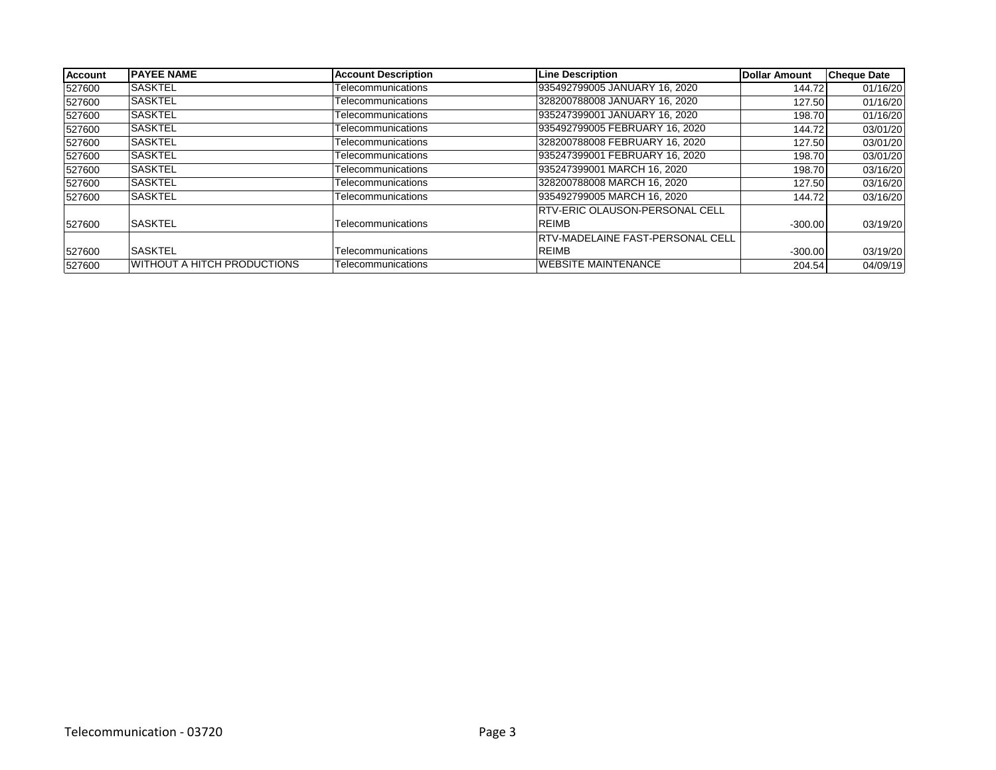| <b>Account</b> | <b>IPAYEE NAME</b>          | <b>Account Description</b> | <b>Line Description</b>                 | <b>Dollar Amount</b> | <b>Cheque Date</b> |
|----------------|-----------------------------|----------------------------|-----------------------------------------|----------------------|--------------------|
| 527600         | <b>SASKTEL</b>              | Telecommunications         | 935492799005 JANUARY 16, 2020           | 144.72               | 01/16/20           |
| 527600         | <b>SASKTEL</b>              | Telecommunications         | 328200788008 JANUARY 16, 2020           | 127.50               | 01/16/20           |
| 527600         | <b>SASKTEL</b>              | Telecommunications         | 935247399001 JANUARY 16, 2020           | 198.70               | 01/16/20           |
| 527600         | <b>SASKTEL</b>              | Telecommunications         | 935492799005 FEBRUARY 16, 2020          | 144.72               | 03/01/20           |
| 527600         | <b>SASKTEL</b>              | Telecommunications         | 328200788008 FEBRUARY 16, 2020          | 127.50               | 03/01/20           |
| 527600         | <b>SASKTEL</b>              | Telecommunications         | 935247399001 FEBRUARY 16, 2020          | 198.70               | 03/01/20           |
| 527600         | <b>SASKTEL</b>              | Telecommunications         | 935247399001 MARCH 16, 2020             | 198.70               | 03/16/20           |
| 527600         | <b>SASKTEL</b>              | Telecommunications         | 328200788008 MARCH 16, 2020             | 127.50               | 03/16/20           |
| 527600         | <b>SASKTEL</b>              | Telecommunications         | 935492799005 MARCH 16, 2020             | 144.72               | 03/16/20           |
|                |                             |                            | <b>IRTV-ERIC OLAUSON-PERSONAL CELL</b>  |                      |                    |
| 527600         | <b>SASKTEL</b>              | Telecommunications         | <b>REIMB</b>                            | $-300.00$            | 03/19/20           |
|                |                             |                            | <b>RTV-MADELAINE FAST-PERSONAL CELL</b> |                      |                    |
| 527600         | <b>SASKTEL</b>              | Telecommunications         | <b>REIMB</b>                            | $-300.00$            | 03/19/20           |
| 527600         | WITHOUT A HITCH PRODUCTIONS | Telecommunications         | <b>WEBSITE MAINTENANCE</b>              | 204.54               | 04/09/19           |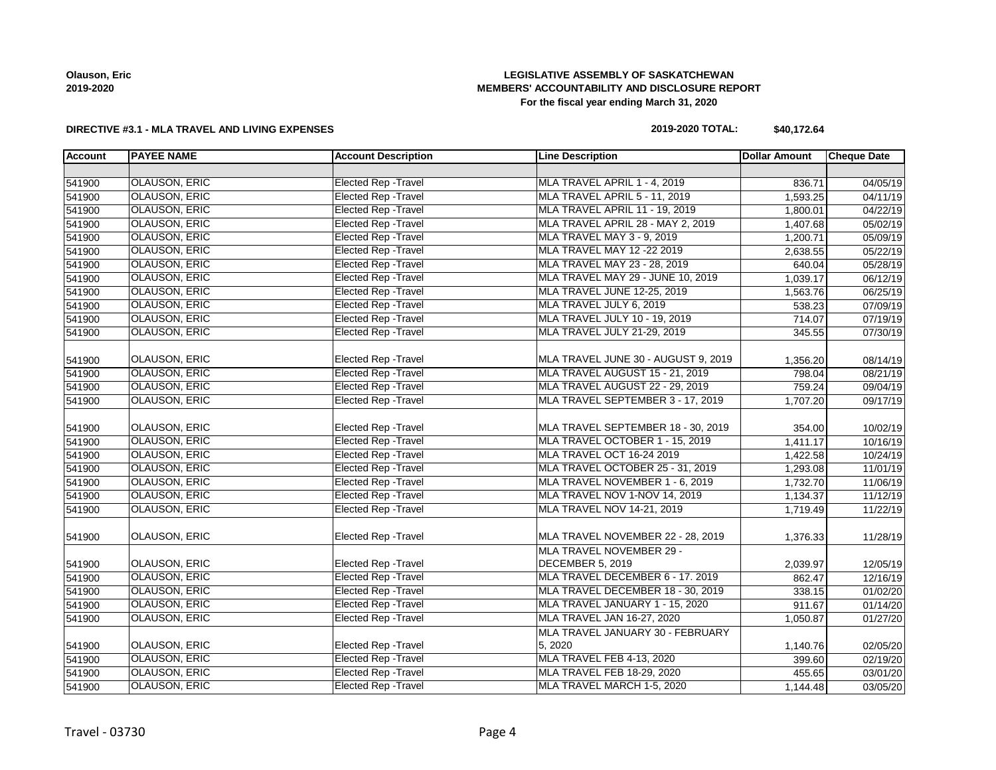

**Olauson, Eric**

#### **DIRECTIVE #3.1 - MLA TRAVEL AND LIVING EXPENSES**

### **LEGISLATIVE ASSEMBLY OF SASKATCHEWAN MEMBERS' ACCOUNTABILITY AND DISCLOSURE REPORT For the fiscal year ending March 31, 2020**

**2019-2020 TOTAL: \$40,172.64**

| <b>Elected Rep - Travel</b><br>OLAUSON, ERIC<br>MLA TRAVEL APRIL 1 - 4, 2019<br>541900<br>836.71<br>MLA TRAVEL APRIL 5 - 11, 2019<br>OLAUSON, ERIC<br>Elected Rep - Travel<br>541900<br>1,593.25<br>Elected Rep - Travel<br>541900<br><b>OLAUSON, ERIC</b><br>MLA TRAVEL APRIL 11 - 19, 2019<br>1,800.01<br>OLAUSON, ERIC<br><b>Elected Rep - Travel</b><br>MLA TRAVEL APRIL 28 - MAY 2, 2019<br>541900<br>1,407.68<br><b>Elected Rep - Travel</b><br><b>OLAUSON, ERIC</b><br>MLA TRAVEL MAY 3 - 9, 2019<br>541900<br>1,200.71<br><b>OLAUSON, ERIC</b><br><b>Elected Rep - Travel</b><br>MLA TRAVEL MAY 12 -22 2019<br>541900<br>2,638.55<br><b>OLAUSON, ERIC</b><br>Elected Rep - Travel<br>MLA TRAVEL MAY 23 - 28, 2019<br>541900<br>640.04<br><b>Elected Rep - Travel</b><br>MLA TRAVEL MAY 29 - JUNE 10, 2019<br>OLAUSON, ERIC<br>541900<br>1,039.17<br>541900<br><b>OLAUSON, ERIC</b><br><b>Elected Rep - Travel</b><br>MLA TRAVEL JUNE 12-25, 2019<br>1,563.76<br>541900<br><b>OLAUSON, ERIC</b><br><b>Elected Rep - Travel</b><br>MLA TRAVEL JULY 6, 2019<br>538.23<br><b>Elected Rep - Travel</b><br><b>OLAUSON, ERIC</b><br>MLA TRAVEL JULY 10 - 19, 2019<br>541900<br>714.07<br><b>Elected Rep - Travel</b><br>OLAUSON, ERIC<br>MLA TRAVEL JULY 21-29, 2019<br>541900<br>345.55<br><b>OLAUSON, ERIC</b><br>Elected Rep - Travel<br>MLA TRAVEL JUNE 30 - AUGUST 9, 2019<br>541900<br>1,356.20<br>08/14/19<br>541900<br><b>OLAUSON, ERIC</b><br><b>Elected Rep - Travel</b><br>MLA TRAVEL AUGUST 15 - 21, 2019<br>08/21/19<br>798.04<br><b>OLAUSON, ERIC</b><br><b>Elected Rep - Travel</b><br>MLA TRAVEL AUGUST 22 - 29, 2019<br>541900<br>759.24<br><b>OLAUSON, ERIC</b><br><b>Elected Rep - Travel</b><br>MLA TRAVEL SEPTEMBER 3 - 17, 2019<br>541900<br>1,707.20<br>OLAUSON, ERIC<br>Elected Rep - Travel<br>MLA TRAVEL SEPTEMBER 18 - 30, 2019<br>541900<br>354.00<br><b>OLAUSON, ERIC</b><br><b>Elected Rep - Travel</b><br>MLA TRAVEL OCTOBER 1 - 15, 2019<br>541900<br>1,411.17<br>OLAUSON, ERIC<br>Elected Rep - Travel<br>MLA TRAVEL OCT 16-24 2019<br>541900<br>1,422.58<br>541900<br><b>OLAUSON, ERIC</b><br>Elected Rep - Travel<br>MLA TRAVEL OCTOBER 25 - 31, 2019<br>1,293.08<br>541900<br><b>OLAUSON, ERIC</b><br><b>Elected Rep - Travel</b><br>MLA TRAVEL NOVEMBER 1 - 6, 2019<br>1,732.70<br><b>OLAUSON, ERIC</b><br><b>Elected Rep - Travel</b><br>MLA TRAVEL NOV 1-NOV 14, 2019<br>541900<br>1,134.37<br><b>OLAUSON, ERIC</b><br><b>Elected Rep - Travel</b><br>MLA TRAVEL NOV 14-21, 2019<br>541900<br>1,719.49<br><b>OLAUSON, ERIC</b><br><b>Elected Rep - Travel</b><br>MLA TRAVEL NOVEMBER 22 - 28, 2019<br>541900<br>1,376.33<br>MLA TRAVEL NOVEMBER 29 -<br><b>OLAUSON, ERIC</b><br>Elected Rep - Travel<br>DECEMBER 5, 2019<br>541900<br>2,039.97<br><b>OLAUSON, ERIC</b><br><b>Elected Rep - Travel</b><br>MLA TRAVEL DECEMBER 6 - 17. 2019<br>541900<br>862.47<br><b>OLAUSON, ERIC</b><br>541900<br><b>Elected Rep - Travel</b><br>MLA TRAVEL DECEMBER 18 - 30, 2019<br>338.15<br><b>Elected Rep - Travel</b><br>541900<br>OLAUSON, ERIC<br>MLA TRAVEL JANUARY 1 - 15, 2020<br>911.67<br><b>OLAUSON, ERIC</b><br><b>Elected Rep - Travel</b><br>MLA TRAVEL JAN 16-27, 2020<br>541900<br>1,050.87<br>MLA TRAVEL JANUARY 30 - FEBRUARY<br>OLAUSON, ERIC<br>Elected Rep - Travel<br>5, 2020<br>541900<br>1,140.76<br><b>OLAUSON, ERIC</b><br><b>Elected Rep - Travel</b><br>MLA TRAVEL FEB 4-13, 2020<br>541900<br>399.60<br><b>OLAUSON, ERIC</b><br><b>Elected Rep - Travel</b><br>MLA TRAVEL FEB 18-29, 2020<br>541900<br>455.65 | <b>Account</b> | <b>PAYEE NAME</b>    | <b>Account Description</b>  | <b>Line Description</b>    | <b>Dollar Amount</b> | <b>Cheque Date</b>    |
|------------------------------------------------------------------------------------------------------------------------------------------------------------------------------------------------------------------------------------------------------------------------------------------------------------------------------------------------------------------------------------------------------------------------------------------------------------------------------------------------------------------------------------------------------------------------------------------------------------------------------------------------------------------------------------------------------------------------------------------------------------------------------------------------------------------------------------------------------------------------------------------------------------------------------------------------------------------------------------------------------------------------------------------------------------------------------------------------------------------------------------------------------------------------------------------------------------------------------------------------------------------------------------------------------------------------------------------------------------------------------------------------------------------------------------------------------------------------------------------------------------------------------------------------------------------------------------------------------------------------------------------------------------------------------------------------------------------------------------------------------------------------------------------------------------------------------------------------------------------------------------------------------------------------------------------------------------------------------------------------------------------------------------------------------------------------------------------------------------------------------------------------------------------------------------------------------------------------------------------------------------------------------------------------------------------------------------------------------------------------------------------------------------------------------------------------------------------------------------------------------------------------------------------------------------------------------------------------------------------------------------------------------------------------------------------------------------------------------------------------------------------------------------------------------------------------------------------------------------------------------------------------------------------------------------------------------------------------------------------------------------------------------------------------------------------------------------------------------------------------------------------------------------------------------------------------------------------------------------------------------------------------------------------------------------------------------------------------------------------------------------------------------------------------------------------------------------------------------------------------------------------------------------------------------------------------|----------------|----------------------|-----------------------------|----------------------------|----------------------|-----------------------|
|                                                                                                                                                                                                                                                                                                                                                                                                                                                                                                                                                                                                                                                                                                                                                                                                                                                                                                                                                                                                                                                                                                                                                                                                                                                                                                                                                                                                                                                                                                                                                                                                                                                                                                                                                                                                                                                                                                                                                                                                                                                                                                                                                                                                                                                                                                                                                                                                                                                                                                                                                                                                                                                                                                                                                                                                                                                                                                                                                                                                                                                                                                                                                                                                                                                                                                                                                                                                                                                                                                                                                                        |                |                      |                             |                            |                      |                       |
|                                                                                                                                                                                                                                                                                                                                                                                                                                                                                                                                                                                                                                                                                                                                                                                                                                                                                                                                                                                                                                                                                                                                                                                                                                                                                                                                                                                                                                                                                                                                                                                                                                                                                                                                                                                                                                                                                                                                                                                                                                                                                                                                                                                                                                                                                                                                                                                                                                                                                                                                                                                                                                                                                                                                                                                                                                                                                                                                                                                                                                                                                                                                                                                                                                                                                                                                                                                                                                                                                                                                                                        |                |                      |                             |                            |                      | 04/05/19              |
|                                                                                                                                                                                                                                                                                                                                                                                                                                                                                                                                                                                                                                                                                                                                                                                                                                                                                                                                                                                                                                                                                                                                                                                                                                                                                                                                                                                                                                                                                                                                                                                                                                                                                                                                                                                                                                                                                                                                                                                                                                                                                                                                                                                                                                                                                                                                                                                                                                                                                                                                                                                                                                                                                                                                                                                                                                                                                                                                                                                                                                                                                                                                                                                                                                                                                                                                                                                                                                                                                                                                                                        |                |                      |                             |                            |                      | 04/11/19              |
|                                                                                                                                                                                                                                                                                                                                                                                                                                                                                                                                                                                                                                                                                                                                                                                                                                                                                                                                                                                                                                                                                                                                                                                                                                                                                                                                                                                                                                                                                                                                                                                                                                                                                                                                                                                                                                                                                                                                                                                                                                                                                                                                                                                                                                                                                                                                                                                                                                                                                                                                                                                                                                                                                                                                                                                                                                                                                                                                                                                                                                                                                                                                                                                                                                                                                                                                                                                                                                                                                                                                                                        |                |                      |                             |                            |                      | 04/22/19              |
|                                                                                                                                                                                                                                                                                                                                                                                                                                                                                                                                                                                                                                                                                                                                                                                                                                                                                                                                                                                                                                                                                                                                                                                                                                                                                                                                                                                                                                                                                                                                                                                                                                                                                                                                                                                                                                                                                                                                                                                                                                                                                                                                                                                                                                                                                                                                                                                                                                                                                                                                                                                                                                                                                                                                                                                                                                                                                                                                                                                                                                                                                                                                                                                                                                                                                                                                                                                                                                                                                                                                                                        |                |                      |                             |                            |                      | $\overline{05/02}/19$ |
|                                                                                                                                                                                                                                                                                                                                                                                                                                                                                                                                                                                                                                                                                                                                                                                                                                                                                                                                                                                                                                                                                                                                                                                                                                                                                                                                                                                                                                                                                                                                                                                                                                                                                                                                                                                                                                                                                                                                                                                                                                                                                                                                                                                                                                                                                                                                                                                                                                                                                                                                                                                                                                                                                                                                                                                                                                                                                                                                                                                                                                                                                                                                                                                                                                                                                                                                                                                                                                                                                                                                                                        |                |                      |                             |                            |                      | 05/09/19              |
|                                                                                                                                                                                                                                                                                                                                                                                                                                                                                                                                                                                                                                                                                                                                                                                                                                                                                                                                                                                                                                                                                                                                                                                                                                                                                                                                                                                                                                                                                                                                                                                                                                                                                                                                                                                                                                                                                                                                                                                                                                                                                                                                                                                                                                                                                                                                                                                                                                                                                                                                                                                                                                                                                                                                                                                                                                                                                                                                                                                                                                                                                                                                                                                                                                                                                                                                                                                                                                                                                                                                                                        |                |                      |                             |                            |                      | 05/22/19              |
|                                                                                                                                                                                                                                                                                                                                                                                                                                                                                                                                                                                                                                                                                                                                                                                                                                                                                                                                                                                                                                                                                                                                                                                                                                                                                                                                                                                                                                                                                                                                                                                                                                                                                                                                                                                                                                                                                                                                                                                                                                                                                                                                                                                                                                                                                                                                                                                                                                                                                                                                                                                                                                                                                                                                                                                                                                                                                                                                                                                                                                                                                                                                                                                                                                                                                                                                                                                                                                                                                                                                                                        |                |                      |                             |                            |                      | $\overline{05/28/19}$ |
|                                                                                                                                                                                                                                                                                                                                                                                                                                                                                                                                                                                                                                                                                                                                                                                                                                                                                                                                                                                                                                                                                                                                                                                                                                                                                                                                                                                                                                                                                                                                                                                                                                                                                                                                                                                                                                                                                                                                                                                                                                                                                                                                                                                                                                                                                                                                                                                                                                                                                                                                                                                                                                                                                                                                                                                                                                                                                                                                                                                                                                                                                                                                                                                                                                                                                                                                                                                                                                                                                                                                                                        |                |                      |                             |                            |                      | 06/12/19              |
|                                                                                                                                                                                                                                                                                                                                                                                                                                                                                                                                                                                                                                                                                                                                                                                                                                                                                                                                                                                                                                                                                                                                                                                                                                                                                                                                                                                                                                                                                                                                                                                                                                                                                                                                                                                                                                                                                                                                                                                                                                                                                                                                                                                                                                                                                                                                                                                                                                                                                                                                                                                                                                                                                                                                                                                                                                                                                                                                                                                                                                                                                                                                                                                                                                                                                                                                                                                                                                                                                                                                                                        |                |                      |                             |                            |                      | 06/25/19              |
|                                                                                                                                                                                                                                                                                                                                                                                                                                                                                                                                                                                                                                                                                                                                                                                                                                                                                                                                                                                                                                                                                                                                                                                                                                                                                                                                                                                                                                                                                                                                                                                                                                                                                                                                                                                                                                                                                                                                                                                                                                                                                                                                                                                                                                                                                                                                                                                                                                                                                                                                                                                                                                                                                                                                                                                                                                                                                                                                                                                                                                                                                                                                                                                                                                                                                                                                                                                                                                                                                                                                                                        |                |                      |                             |                            |                      | 07/09/19              |
|                                                                                                                                                                                                                                                                                                                                                                                                                                                                                                                                                                                                                                                                                                                                                                                                                                                                                                                                                                                                                                                                                                                                                                                                                                                                                                                                                                                                                                                                                                                                                                                                                                                                                                                                                                                                                                                                                                                                                                                                                                                                                                                                                                                                                                                                                                                                                                                                                                                                                                                                                                                                                                                                                                                                                                                                                                                                                                                                                                                                                                                                                                                                                                                                                                                                                                                                                                                                                                                                                                                                                                        |                |                      |                             |                            |                      | 07/19/19              |
|                                                                                                                                                                                                                                                                                                                                                                                                                                                                                                                                                                                                                                                                                                                                                                                                                                                                                                                                                                                                                                                                                                                                                                                                                                                                                                                                                                                                                                                                                                                                                                                                                                                                                                                                                                                                                                                                                                                                                                                                                                                                                                                                                                                                                                                                                                                                                                                                                                                                                                                                                                                                                                                                                                                                                                                                                                                                                                                                                                                                                                                                                                                                                                                                                                                                                                                                                                                                                                                                                                                                                                        |                |                      |                             |                            |                      | 07/30/19              |
|                                                                                                                                                                                                                                                                                                                                                                                                                                                                                                                                                                                                                                                                                                                                                                                                                                                                                                                                                                                                                                                                                                                                                                                                                                                                                                                                                                                                                                                                                                                                                                                                                                                                                                                                                                                                                                                                                                                                                                                                                                                                                                                                                                                                                                                                                                                                                                                                                                                                                                                                                                                                                                                                                                                                                                                                                                                                                                                                                                                                                                                                                                                                                                                                                                                                                                                                                                                                                                                                                                                                                                        |                |                      |                             |                            |                      |                       |
|                                                                                                                                                                                                                                                                                                                                                                                                                                                                                                                                                                                                                                                                                                                                                                                                                                                                                                                                                                                                                                                                                                                                                                                                                                                                                                                                                                                                                                                                                                                                                                                                                                                                                                                                                                                                                                                                                                                                                                                                                                                                                                                                                                                                                                                                                                                                                                                                                                                                                                                                                                                                                                                                                                                                                                                                                                                                                                                                                                                                                                                                                                                                                                                                                                                                                                                                                                                                                                                                                                                                                                        |                |                      |                             |                            |                      |                       |
|                                                                                                                                                                                                                                                                                                                                                                                                                                                                                                                                                                                                                                                                                                                                                                                                                                                                                                                                                                                                                                                                                                                                                                                                                                                                                                                                                                                                                                                                                                                                                                                                                                                                                                                                                                                                                                                                                                                                                                                                                                                                                                                                                                                                                                                                                                                                                                                                                                                                                                                                                                                                                                                                                                                                                                                                                                                                                                                                                                                                                                                                                                                                                                                                                                                                                                                                                                                                                                                                                                                                                                        |                |                      |                             |                            |                      | 09/04/19              |
|                                                                                                                                                                                                                                                                                                                                                                                                                                                                                                                                                                                                                                                                                                                                                                                                                                                                                                                                                                                                                                                                                                                                                                                                                                                                                                                                                                                                                                                                                                                                                                                                                                                                                                                                                                                                                                                                                                                                                                                                                                                                                                                                                                                                                                                                                                                                                                                                                                                                                                                                                                                                                                                                                                                                                                                                                                                                                                                                                                                                                                                                                                                                                                                                                                                                                                                                                                                                                                                                                                                                                                        |                |                      |                             |                            |                      | 09/17/19              |
|                                                                                                                                                                                                                                                                                                                                                                                                                                                                                                                                                                                                                                                                                                                                                                                                                                                                                                                                                                                                                                                                                                                                                                                                                                                                                                                                                                                                                                                                                                                                                                                                                                                                                                                                                                                                                                                                                                                                                                                                                                                                                                                                                                                                                                                                                                                                                                                                                                                                                                                                                                                                                                                                                                                                                                                                                                                                                                                                                                                                                                                                                                                                                                                                                                                                                                                                                                                                                                                                                                                                                                        |                |                      |                             |                            |                      |                       |
|                                                                                                                                                                                                                                                                                                                                                                                                                                                                                                                                                                                                                                                                                                                                                                                                                                                                                                                                                                                                                                                                                                                                                                                                                                                                                                                                                                                                                                                                                                                                                                                                                                                                                                                                                                                                                                                                                                                                                                                                                                                                                                                                                                                                                                                                                                                                                                                                                                                                                                                                                                                                                                                                                                                                                                                                                                                                                                                                                                                                                                                                                                                                                                                                                                                                                                                                                                                                                                                                                                                                                                        |                |                      |                             |                            |                      | 10/02/19              |
|                                                                                                                                                                                                                                                                                                                                                                                                                                                                                                                                                                                                                                                                                                                                                                                                                                                                                                                                                                                                                                                                                                                                                                                                                                                                                                                                                                                                                                                                                                                                                                                                                                                                                                                                                                                                                                                                                                                                                                                                                                                                                                                                                                                                                                                                                                                                                                                                                                                                                                                                                                                                                                                                                                                                                                                                                                                                                                                                                                                                                                                                                                                                                                                                                                                                                                                                                                                                                                                                                                                                                                        |                |                      |                             |                            |                      | 10/16/19              |
|                                                                                                                                                                                                                                                                                                                                                                                                                                                                                                                                                                                                                                                                                                                                                                                                                                                                                                                                                                                                                                                                                                                                                                                                                                                                                                                                                                                                                                                                                                                                                                                                                                                                                                                                                                                                                                                                                                                                                                                                                                                                                                                                                                                                                                                                                                                                                                                                                                                                                                                                                                                                                                                                                                                                                                                                                                                                                                                                                                                                                                                                                                                                                                                                                                                                                                                                                                                                                                                                                                                                                                        |                |                      |                             |                            |                      | 10/24/19              |
|                                                                                                                                                                                                                                                                                                                                                                                                                                                                                                                                                                                                                                                                                                                                                                                                                                                                                                                                                                                                                                                                                                                                                                                                                                                                                                                                                                                                                                                                                                                                                                                                                                                                                                                                                                                                                                                                                                                                                                                                                                                                                                                                                                                                                                                                                                                                                                                                                                                                                                                                                                                                                                                                                                                                                                                                                                                                                                                                                                                                                                                                                                                                                                                                                                                                                                                                                                                                                                                                                                                                                                        |                |                      |                             |                            |                      | 11/01/19              |
|                                                                                                                                                                                                                                                                                                                                                                                                                                                                                                                                                                                                                                                                                                                                                                                                                                                                                                                                                                                                                                                                                                                                                                                                                                                                                                                                                                                                                                                                                                                                                                                                                                                                                                                                                                                                                                                                                                                                                                                                                                                                                                                                                                                                                                                                                                                                                                                                                                                                                                                                                                                                                                                                                                                                                                                                                                                                                                                                                                                                                                                                                                                                                                                                                                                                                                                                                                                                                                                                                                                                                                        |                |                      |                             |                            |                      | 11/06/19              |
|                                                                                                                                                                                                                                                                                                                                                                                                                                                                                                                                                                                                                                                                                                                                                                                                                                                                                                                                                                                                                                                                                                                                                                                                                                                                                                                                                                                                                                                                                                                                                                                                                                                                                                                                                                                                                                                                                                                                                                                                                                                                                                                                                                                                                                                                                                                                                                                                                                                                                                                                                                                                                                                                                                                                                                                                                                                                                                                                                                                                                                                                                                                                                                                                                                                                                                                                                                                                                                                                                                                                                                        |                |                      |                             |                            |                      | 11/12/19              |
|                                                                                                                                                                                                                                                                                                                                                                                                                                                                                                                                                                                                                                                                                                                                                                                                                                                                                                                                                                                                                                                                                                                                                                                                                                                                                                                                                                                                                                                                                                                                                                                                                                                                                                                                                                                                                                                                                                                                                                                                                                                                                                                                                                                                                                                                                                                                                                                                                                                                                                                                                                                                                                                                                                                                                                                                                                                                                                                                                                                                                                                                                                                                                                                                                                                                                                                                                                                                                                                                                                                                                                        |                |                      |                             |                            |                      | 11/22/19              |
|                                                                                                                                                                                                                                                                                                                                                                                                                                                                                                                                                                                                                                                                                                                                                                                                                                                                                                                                                                                                                                                                                                                                                                                                                                                                                                                                                                                                                                                                                                                                                                                                                                                                                                                                                                                                                                                                                                                                                                                                                                                                                                                                                                                                                                                                                                                                                                                                                                                                                                                                                                                                                                                                                                                                                                                                                                                                                                                                                                                                                                                                                                                                                                                                                                                                                                                                                                                                                                                                                                                                                                        |                |                      |                             |                            |                      | 11/28/19              |
|                                                                                                                                                                                                                                                                                                                                                                                                                                                                                                                                                                                                                                                                                                                                                                                                                                                                                                                                                                                                                                                                                                                                                                                                                                                                                                                                                                                                                                                                                                                                                                                                                                                                                                                                                                                                                                                                                                                                                                                                                                                                                                                                                                                                                                                                                                                                                                                                                                                                                                                                                                                                                                                                                                                                                                                                                                                                                                                                                                                                                                                                                                                                                                                                                                                                                                                                                                                                                                                                                                                                                                        |                |                      |                             |                            |                      |                       |
|                                                                                                                                                                                                                                                                                                                                                                                                                                                                                                                                                                                                                                                                                                                                                                                                                                                                                                                                                                                                                                                                                                                                                                                                                                                                                                                                                                                                                                                                                                                                                                                                                                                                                                                                                                                                                                                                                                                                                                                                                                                                                                                                                                                                                                                                                                                                                                                                                                                                                                                                                                                                                                                                                                                                                                                                                                                                                                                                                                                                                                                                                                                                                                                                                                                                                                                                                                                                                                                                                                                                                                        |                |                      |                             |                            |                      | 12/05/19              |
|                                                                                                                                                                                                                                                                                                                                                                                                                                                                                                                                                                                                                                                                                                                                                                                                                                                                                                                                                                                                                                                                                                                                                                                                                                                                                                                                                                                                                                                                                                                                                                                                                                                                                                                                                                                                                                                                                                                                                                                                                                                                                                                                                                                                                                                                                                                                                                                                                                                                                                                                                                                                                                                                                                                                                                                                                                                                                                                                                                                                                                                                                                                                                                                                                                                                                                                                                                                                                                                                                                                                                                        |                |                      |                             |                            |                      | 12/16/19              |
|                                                                                                                                                                                                                                                                                                                                                                                                                                                                                                                                                                                                                                                                                                                                                                                                                                                                                                                                                                                                                                                                                                                                                                                                                                                                                                                                                                                                                                                                                                                                                                                                                                                                                                                                                                                                                                                                                                                                                                                                                                                                                                                                                                                                                                                                                                                                                                                                                                                                                                                                                                                                                                                                                                                                                                                                                                                                                                                                                                                                                                                                                                                                                                                                                                                                                                                                                                                                                                                                                                                                                                        |                |                      |                             |                            |                      | 01/02/20              |
|                                                                                                                                                                                                                                                                                                                                                                                                                                                                                                                                                                                                                                                                                                                                                                                                                                                                                                                                                                                                                                                                                                                                                                                                                                                                                                                                                                                                                                                                                                                                                                                                                                                                                                                                                                                                                                                                                                                                                                                                                                                                                                                                                                                                                                                                                                                                                                                                                                                                                                                                                                                                                                                                                                                                                                                                                                                                                                                                                                                                                                                                                                                                                                                                                                                                                                                                                                                                                                                                                                                                                                        |                |                      |                             |                            |                      | 01/14/20              |
|                                                                                                                                                                                                                                                                                                                                                                                                                                                                                                                                                                                                                                                                                                                                                                                                                                                                                                                                                                                                                                                                                                                                                                                                                                                                                                                                                                                                                                                                                                                                                                                                                                                                                                                                                                                                                                                                                                                                                                                                                                                                                                                                                                                                                                                                                                                                                                                                                                                                                                                                                                                                                                                                                                                                                                                                                                                                                                                                                                                                                                                                                                                                                                                                                                                                                                                                                                                                                                                                                                                                                                        |                |                      |                             |                            |                      | 01/27/20              |
|                                                                                                                                                                                                                                                                                                                                                                                                                                                                                                                                                                                                                                                                                                                                                                                                                                                                                                                                                                                                                                                                                                                                                                                                                                                                                                                                                                                                                                                                                                                                                                                                                                                                                                                                                                                                                                                                                                                                                                                                                                                                                                                                                                                                                                                                                                                                                                                                                                                                                                                                                                                                                                                                                                                                                                                                                                                                                                                                                                                                                                                                                                                                                                                                                                                                                                                                                                                                                                                                                                                                                                        |                |                      |                             |                            |                      |                       |
|                                                                                                                                                                                                                                                                                                                                                                                                                                                                                                                                                                                                                                                                                                                                                                                                                                                                                                                                                                                                                                                                                                                                                                                                                                                                                                                                                                                                                                                                                                                                                                                                                                                                                                                                                                                                                                                                                                                                                                                                                                                                                                                                                                                                                                                                                                                                                                                                                                                                                                                                                                                                                                                                                                                                                                                                                                                                                                                                                                                                                                                                                                                                                                                                                                                                                                                                                                                                                                                                                                                                                                        |                |                      |                             |                            |                      | 02/05/20              |
|                                                                                                                                                                                                                                                                                                                                                                                                                                                                                                                                                                                                                                                                                                                                                                                                                                                                                                                                                                                                                                                                                                                                                                                                                                                                                                                                                                                                                                                                                                                                                                                                                                                                                                                                                                                                                                                                                                                                                                                                                                                                                                                                                                                                                                                                                                                                                                                                                                                                                                                                                                                                                                                                                                                                                                                                                                                                                                                                                                                                                                                                                                                                                                                                                                                                                                                                                                                                                                                                                                                                                                        |                |                      |                             |                            |                      | 02/19/20              |
|                                                                                                                                                                                                                                                                                                                                                                                                                                                                                                                                                                                                                                                                                                                                                                                                                                                                                                                                                                                                                                                                                                                                                                                                                                                                                                                                                                                                                                                                                                                                                                                                                                                                                                                                                                                                                                                                                                                                                                                                                                                                                                                                                                                                                                                                                                                                                                                                                                                                                                                                                                                                                                                                                                                                                                                                                                                                                                                                                                                                                                                                                                                                                                                                                                                                                                                                                                                                                                                                                                                                                                        |                |                      |                             |                            |                      | 03/01/20              |
|                                                                                                                                                                                                                                                                                                                                                                                                                                                                                                                                                                                                                                                                                                                                                                                                                                                                                                                                                                                                                                                                                                                                                                                                                                                                                                                                                                                                                                                                                                                                                                                                                                                                                                                                                                                                                                                                                                                                                                                                                                                                                                                                                                                                                                                                                                                                                                                                                                                                                                                                                                                                                                                                                                                                                                                                                                                                                                                                                                                                                                                                                                                                                                                                                                                                                                                                                                                                                                                                                                                                                                        | 541900         | <b>OLAUSON, ERIC</b> | <b>Elected Rep - Travel</b> | MLA TRAVEL MARCH 1-5, 2020 | 1,144.48             | 03/05/20              |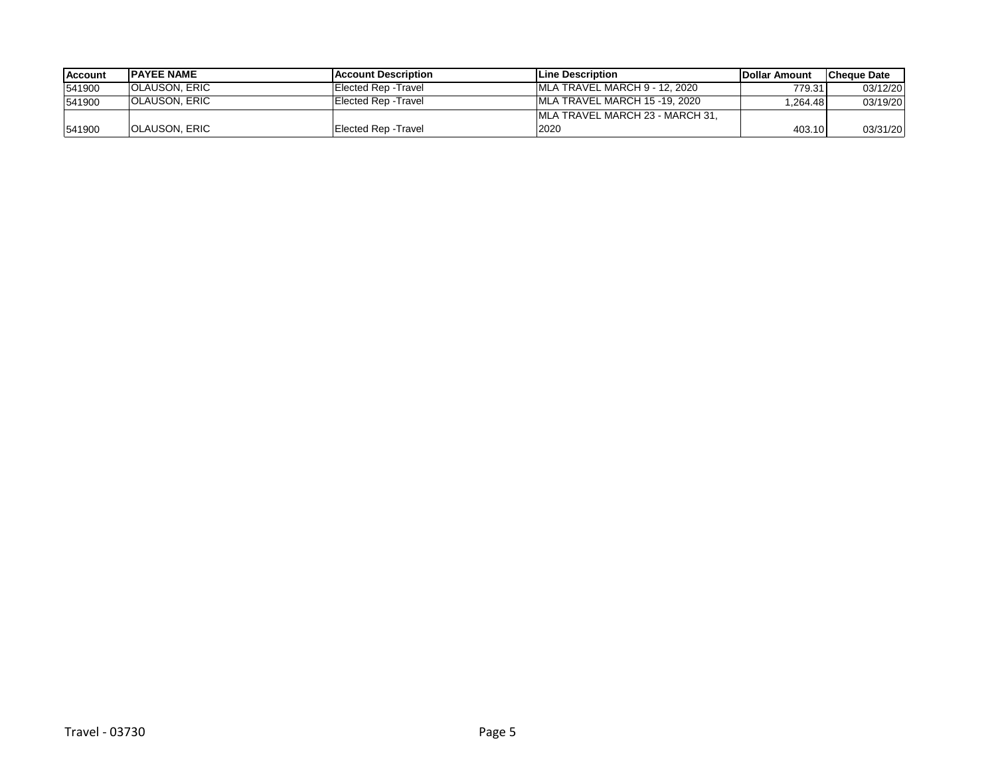| <b>Account</b> | <b>IPAYEE NAME</b>    | <b>IAccount Description</b> | <b>ILine Description</b>         | <b>IDollar Amount</b> | <b>ICheque Date</b> |
|----------------|-----------------------|-----------------------------|----------------------------------|-----------------------|---------------------|
| 541900         | <b>IOLAUSON, ERIC</b> | Elected Rep - Travel        | IMLA TRAVEL MARCH 9 - 12, 2020   | 779.31                | 03/12/20            |
| 541900         | <b>IOLAUSON, ERIC</b> | Elected Rep - Travel        | IMLA TRAVEL MARCH 15 -19, 2020   | .264.48               | 03/19/20            |
|                |                       |                             | IMLA TRAVEL MARCH 23 - MARCH 31. |                       |                     |
| 541900         | <b>IOLAUSON, ERIC</b> | Elected Rep - Travel        | 2020                             | 403.10                | 03/31/20            |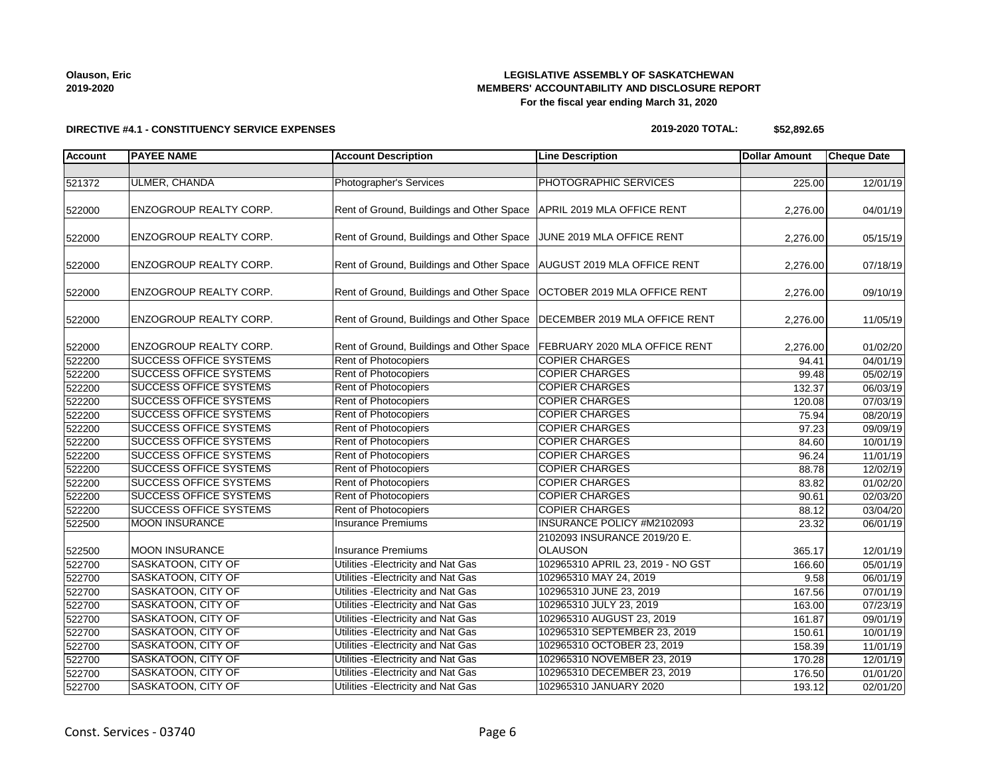# Const. Services - 03740 Page 6

### **LEGISLATIVE ASSEMBLY OF SASKATCHEWAN MEMBERS' ACCOUNTABILITY AND DISCLOSURE REPORT For the fiscal year ending March 31, 2020**

## **DIRECTIVE #4.1 - CONSTITUENCY SERVICE EXPENSES**

# **2019-2020 TOTAL: \$52,892.65**

| <b>Account</b> | <b>PAYEE NAME</b>             | <b>Account Description</b>                                                | <b>Line Description</b>           | <b>Dollar Amount</b> | <b>Cheque Date</b> |
|----------------|-------------------------------|---------------------------------------------------------------------------|-----------------------------------|----------------------|--------------------|
|                |                               |                                                                           |                                   |                      |                    |
| 521372         | ULMER, CHANDA                 | Photographer's Services                                                   | PHOTOGRAPHIC SERVICES             | 225.00               | 12/01/19           |
| 522000         | ENZOGROUP REALTY CORP.        | Rent of Ground, Buildings and Other Space APRIL 2019 MLA OFFICE RENT      |                                   | 2,276.00             | 04/01/19           |
| 522000         | ENZOGROUP REALTY CORP.        | Rent of Ground, Buildings and Other Space JUNE 2019 MLA OFFICE RENT       |                                   | 2,276.00             | 05/15/19           |
| 522000         | ENZOGROUP REALTY CORP.        | Rent of Ground, Buildings and Other Space   AUGUST 2019 MLA OFFICE RENT   |                                   | 2,276.00             | 07/18/19           |
| 522000         | ENZOGROUP REALTY CORP.        | Rent of Ground, Buildings and Other Space                                 | OCTOBER 2019 MLA OFFICE RENT      | 2,276.00             | 09/10/19           |
| 522000         | ENZOGROUP REALTY CORP.        | Rent of Ground, Buildings and Other Space   DECEMBER 2019 MLA OFFICE RENT |                                   | 2,276.00             | 11/05/19           |
| 522000         | ENZOGROUP REALTY CORP.        | Rent of Ground, Buildings and Other Space                                 | FEBRUARY 2020 MLA OFFICE RENT     | 2,276.00             | 01/02/20           |
| 522200         | <b>SUCCESS OFFICE SYSTEMS</b> | Rent of Photocopiers                                                      | <b>COPIER CHARGES</b>             | 94.41                | 04/01/19           |
| 522200         | <b>SUCCESS OFFICE SYSTEMS</b> | Rent of Photocopiers                                                      | <b>COPIER CHARGES</b>             | 99.48                | 05/02/19           |
| 522200         | <b>SUCCESS OFFICE SYSTEMS</b> | Rent of Photocopiers                                                      | <b>COPIER CHARGES</b>             | 132.37               | 06/03/19           |
| 522200         | <b>SUCCESS OFFICE SYSTEMS</b> | Rent of Photocopiers                                                      | <b>COPIER CHARGES</b>             | 120.08               | 07/03/19           |
| 522200         | <b>SUCCESS OFFICE SYSTEMS</b> | Rent of Photocopiers                                                      | <b>COPIER CHARGES</b>             | 75.94                | 08/20/19           |
| 522200         | <b>SUCCESS OFFICE SYSTEMS</b> | Rent of Photocopiers                                                      | <b>COPIER CHARGES</b>             | $\overline{97.23}$   | 09/09/19           |
| 522200         | <b>SUCCESS OFFICE SYSTEMS</b> | Rent of Photocopiers                                                      | <b>COPIER CHARGES</b>             | 84.60                | 10/01/19           |
| 522200         | <b>SUCCESS OFFICE SYSTEMS</b> | Rent of Photocopiers                                                      | <b>COPIER CHARGES</b>             | 96.24                | 11/01/19           |
| 522200         | <b>SUCCESS OFFICE SYSTEMS</b> | Rent of Photocopiers                                                      | <b>COPIER CHARGES</b>             | 88.78                | 12/02/19           |
| 522200         | <b>SUCCESS OFFICE SYSTEMS</b> | Rent of Photocopiers                                                      | <b>COPIER CHARGES</b>             | 83.82                | 01/02/20           |
| 522200         | <b>SUCCESS OFFICE SYSTEMS</b> | Rent of Photocopiers                                                      | <b>COPIER CHARGES</b>             | 90.61                | 02/03/20           |
| 522200         | <b>SUCCESS OFFICE SYSTEMS</b> | <b>Rent of Photocopiers</b>                                               | <b>COPIER CHARGES</b>             | 88.12                | 03/04/20           |
| 522500         | <b>MOON INSURANCE</b>         | <b>Insurance Premiums</b>                                                 | INSURANCE POLICY #M2102093        | 23.32                | 06/01/19           |
|                |                               |                                                                           | 2102093 INSURANCE 2019/20 E.      |                      |                    |
| 522500         | <b>MOON INSURANCE</b>         | <b>Insurance Premiums</b>                                                 | <b>OLAUSON</b>                    | 365.17               | 12/01/19           |
| 522700         | SASKATOON, CITY OF            | Utilities - Electricity and Nat Gas                                       | 102965310 APRIL 23, 2019 - NO GST | 166.60               | 05/01/19           |
| 522700         | SASKATOON, CITY OF            | Utilities - Electricity and Nat Gas                                       | 102965310 MAY 24, 2019            | 9.58                 | 06/01/19           |
| 522700         | SASKATOON, CITY OF            | Utilities - Electricity and Nat Gas                                       | 102965310 JUNE 23, 2019           | 167.56               | 07/01/19           |
| 522700         | SASKATOON, CITY OF            | Utilities - Electricity and Nat Gas                                       | 102965310 JULY 23, 2019           | 163.00               | 07/23/19           |
| 522700         | SASKATOON, CITY OF            | Utilities - Electricity and Nat Gas                                       | 102965310 AUGUST 23, 2019         | 161.87               | 09/01/19           |
| 522700         | SASKATOON, CITY OF            | Utilities - Electricity and Nat Gas                                       | 102965310 SEPTEMBER 23, 2019      | 150.61               | 10/01/19           |
| 522700         | SASKATOON, CITY OF            | Utilities - Electricity and Nat Gas                                       | 102965310 OCTOBER 23, 2019        | 158.39               | 11/01/19           |
| 522700         | SASKATOON, CITY OF            | Utilities - Electricity and Nat Gas                                       | 102965310 NOVEMBER 23, 2019       | 170.28               | 12/01/19           |
| 522700         | SASKATOON, CITY OF            | Utilities - Electricity and Nat Gas                                       | 102965310 DECEMBER 23, 2019       | 176.50               | 01/01/20           |
| 522700         | SASKATOON, CITY OF            | Utilities - Electricity and Nat Gas                                       | 102965310 JANUARY 2020            | 193.12               | 02/01/20           |
|                |                               |                                                                           |                                   |                      |                    |

**Olauson, Eric 2019-2020**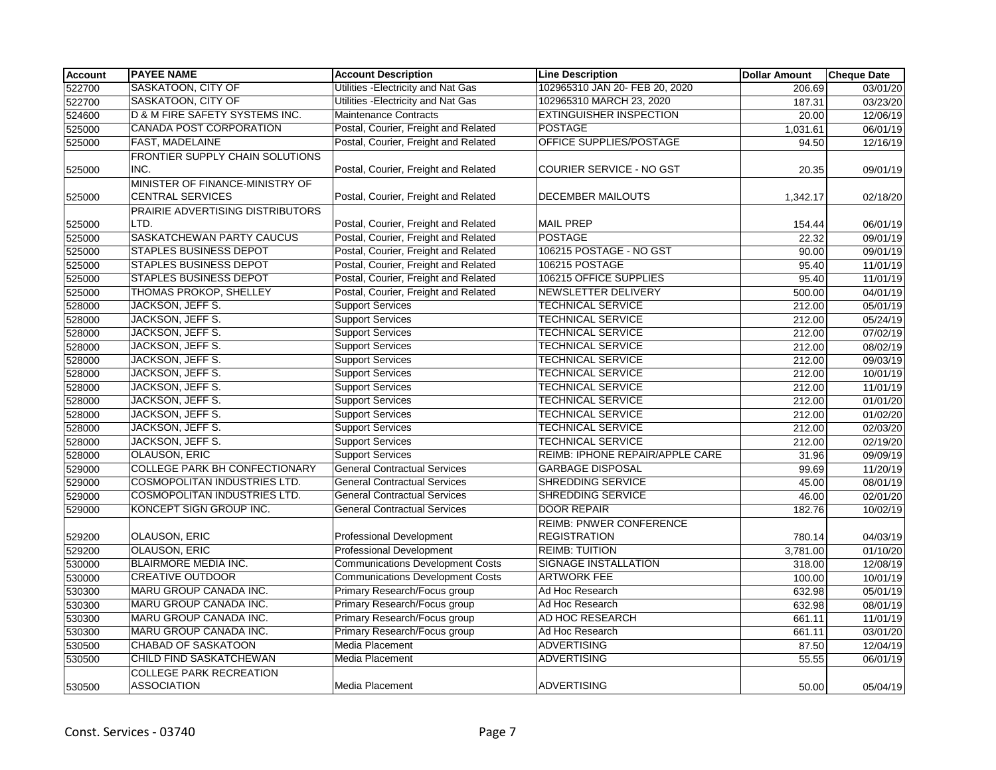| <b>Account</b> | <b>PAYEE NAME</b>                                          | <b>Account Description</b>              | <b>Line Description</b>         | <b>Dollar Amount</b> | <b>Cheque Date</b> |
|----------------|------------------------------------------------------------|-----------------------------------------|---------------------------------|----------------------|--------------------|
| 522700         | SASKATOON, CITY OF                                         | Utilities - Electricity and Nat Gas     | 102965310 JAN 20- FEB 20, 2020  | 206.69               | 03/01/20           |
| 522700         | SASKATOON, CITY OF                                         | Utilities - Electricity and Nat Gas     | 102965310 MARCH 23, 2020        | 187.31               | 03/23/20           |
| 524600         | D & M FIRE SAFETY SYSTEMS INC.                             | <b>Maintenance Contracts</b>            | <b>EXTINGUISHER INSPECTION</b>  | 20.00                | 12/06/19           |
| 525000         | <b>CANADA POST CORPORATION</b>                             | Postal, Courier, Freight and Related    | <b>POSTAGE</b>                  | 1,031.61             | 06/01/19           |
| 525000         | FAST, MADELAINE                                            | Postal, Courier, Freight and Related    | OFFICE SUPPLIES/POSTAGE         | 94.50                | 12/16/19           |
|                | FRONTIER SUPPLY CHAIN SOLUTIONS                            |                                         |                                 |                      |                    |
| 525000         | INC.                                                       | Postal, Courier, Freight and Related    | COURIER SERVICE - NO GST        | 20.35                | 09/01/19           |
| 525000         | MINISTER OF FINANCE-MINISTRY OF<br><b>CENTRAL SERVICES</b> | Postal, Courier, Freight and Related    | DECEMBER MAILOUTS               | 1,342.17             | 02/18/20           |
|                | PRAIRIE ADVERTISING DISTRIBUTORS                           |                                         |                                 |                      |                    |
| 525000         | LTD.                                                       | Postal, Courier, Freight and Related    | <b>MAIL PREP</b>                | 154.44               | 06/01/19           |
| 525000         | <b>SASKATCHEWAN PARTY CAUCUS</b>                           | Postal, Courier, Freight and Related    | <b>POSTAGE</b>                  | 22.32                | 09/01/19           |
| 525000         | <b>STAPLES BUSINESS DEPOT</b>                              | Postal, Courier, Freight and Related    | 106215 POSTAGE - NO GST         | 90.00                | 09/01/19           |
| 525000         | <b>STAPLES BUSINESS DEPOT</b>                              | Postal, Courier, Freight and Related    | 106215 POSTAGE                  | 95.40                | 11/01/19           |
| 525000         | <b>STAPLES BUSINESS DEPOT</b>                              | Postal, Courier, Freight and Related    | 106215 OFFICE SUPPLIES          | 95.40                | 11/01/19           |
| 525000         | <b>THOMAS PROKOP, SHELLEY</b>                              | Postal, Courier, Freight and Related    | <b>NEWSLETTER DELIVERY</b>      | 500.00               | 04/01/19           |
| 528000         | JACKSON, JEFF S.                                           | <b>Support Services</b>                 | <b>TECHNICAL SERVICE</b>        | 212.00               | 05/01/19           |
| 528000         | JACKSON, JEFF S.                                           | <b>Support Services</b>                 | <b>TECHNICAL SERVICE</b>        | 212.00               | 05/24/19           |
| 528000         | JACKSON, JEFF S.                                           | <b>Support Services</b>                 | <b>TECHNICAL SERVICE</b>        | 212.00               | 07/02/19           |
| 528000         | JACKSON, JEFF S.                                           | <b>Support Services</b>                 | <b>TECHNICAL SERVICE</b>        | 212.00               | 08/02/19           |
| 528000         | JACKSON, JEFF S.                                           | <b>Support Services</b>                 | <b>TECHNICAL SERVICE</b>        | 212.00               | 09/03/19           |
| 528000         | <b>JACKSON, JEFF S.</b>                                    | <b>Support Services</b>                 | <b>TECHNICAL SERVICE</b>        | 212.00               | 10/01/19           |
| 528000         | JACKSON, JEFF S.                                           | <b>Support Services</b>                 | <b>TECHNICAL SERVICE</b>        | 212.00               | 11/01/19           |
| 528000         | JACKSON, JEFF S.                                           | <b>Support Services</b>                 | <b>TECHNICAL SERVICE</b>        | 212.00               | 01/01/20           |
| 528000         | JACKSON, JEFF S.                                           | <b>Support Services</b>                 | <b>TECHNICAL SERVICE</b>        | 212.00               | 01/02/20           |
| 528000         | JACKSON, JEFF S.                                           | <b>Support Services</b>                 | <b>TECHNICAL SERVICE</b>        | 212.00               | 02/03/20           |
| 528000         | JACKSON, JEFF S.                                           | <b>Support Services</b>                 | <b>TECHNICAL SERVICE</b>        | 212.00               | 02/19/20           |
| 528000         | OLAUSON, ERIC                                              | <b>Support Services</b>                 | REIMB: IPHONE REPAIR/APPLE CARE | 31.96                | 09/09/19           |
| 529000         | <b>COLLEGE PARK BH CONFECTIONARY</b>                       | <b>General Contractual Services</b>     | <b>GARBAGE DISPOSAL</b>         | 99.69                | 11/20/19           |
| 529000         | COSMOPOLITAN INDUSTRIES LTD.                               | <b>General Contractual Services</b>     | <b>SHREDDING SERVICE</b>        | 45.00                | 08/01/19           |
| 529000         | COSMOPOLITAN INDUSTRIES LTD.                               | <b>General Contractual Services</b>     | SHREDDING SERVICE               | 46.00                | 02/01/20           |
| 529000         | KONCEPT SIGN GROUP INC.                                    | <b>General Contractual Services</b>     | <b>DOOR REPAIR</b>              | 182.76               | 10/02/19           |
|                |                                                            |                                         | <b>REIMB: PNWER CONFERENCE</b>  |                      |                    |
| 529200         | OLAUSON, ERIC                                              | Professional Development                | <b>REGISTRATION</b>             | 780.14               | 04/03/19           |
| 529200         | <b>OLAUSON, ERIC</b>                                       | <b>Professional Development</b>         | <b>REIMB: TUITION</b>           | 3,781.00             | 01/10/20           |
| 530000         | <b>BLAIRMORE MEDIA INC.</b>                                | <b>Communications Development Costs</b> | <b>SIGNAGE INSTALLATION</b>     | 318.00               | 12/08/19           |
| 530000         | <b>CREATIVE OUTDOOR</b>                                    | <b>Communications Development Costs</b> | <b>ARTWORK FEE</b>              | 100.00               | 10/01/19           |
| 530300         | MARU GROUP CANADA INC.                                     | Primary Research/Focus group            | Ad Hoc Research                 | 632.98               | 05/01/19           |
| 530300         | MARU GROUP CANADA INC.                                     | Primary Research/Focus group            | Ad Hoc Research                 | 632.98               | 08/01/19           |
| 530300         | MARU GROUP CANADA INC.                                     | Primary Research/Focus group            | AD HOC RESEARCH                 | 661.11               | 11/01/19           |
| 530300         | MARU GROUP CANADA INC.                                     | Primary Research/Focus group            | Ad Hoc Research                 | 661.11               | 03/01/20           |
| 530500         | <b>CHABAD OF SASKATOON</b>                                 | Media Placement                         | <b>ADVERTISING</b>              | 87.50                | 12/04/19           |
| 530500         | <b>CHILD FIND SASKATCHEWAN</b>                             | Media Placement                         | <b>ADVERTISING</b>              | 55.55                | 06/01/19           |
|                | <b>COLLEGE PARK RECREATION</b>                             |                                         |                                 |                      |                    |
| 530500         | <b>ASSOCIATION</b>                                         | Media Placement                         | <b>ADVERTISING</b>              | 50.00                | 05/04/19           |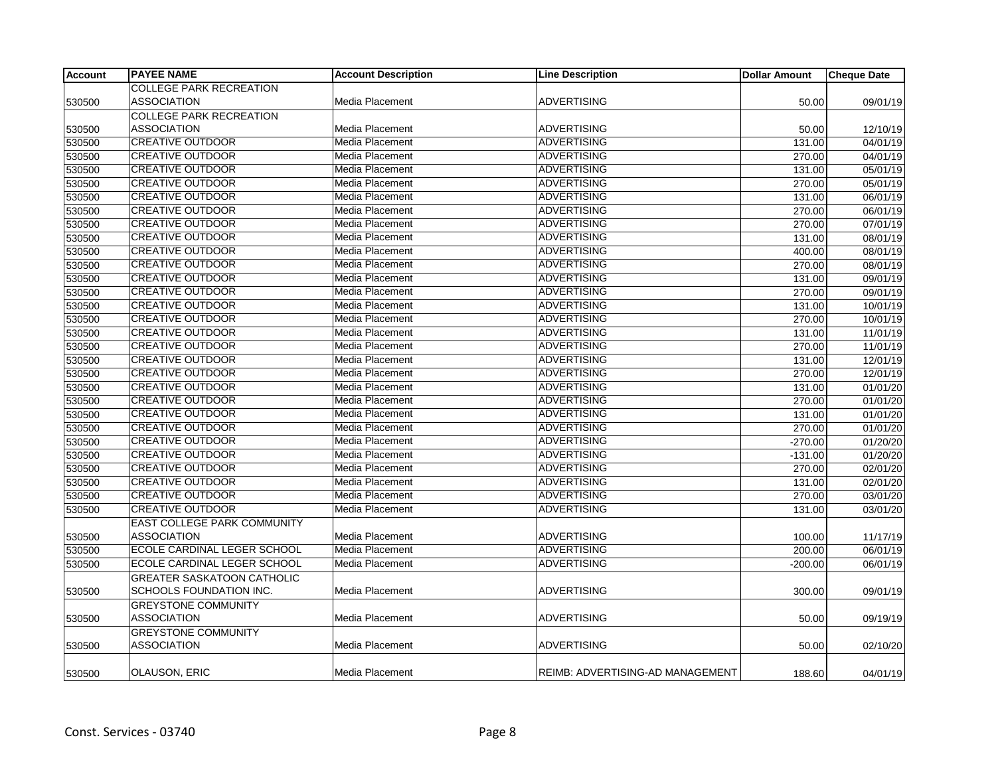| <b>Account</b> | <b>PAYEE NAME</b>                 | <b>Account Description</b> | <b>Line Description</b>          | <b>Dollar Amount</b> | <b>Cheque Date</b> |
|----------------|-----------------------------------|----------------------------|----------------------------------|----------------------|--------------------|
|                | <b>COLLEGE PARK RECREATION</b>    |                            |                                  |                      |                    |
| 530500         | ASSOCIATION                       | Media Placement            | <b>ADVERTISING</b>               | 50.00                | 09/01/19           |
|                | <b>COLLEGE PARK RECREATION</b>    |                            |                                  |                      |                    |
| 530500         | <b>ASSOCIATION</b>                | Media Placement            | <b>ADVERTISING</b>               | 50.00                | 12/10/19           |
| 530500         | CREATIVE OUTDOOR                  | Media Placement            | <b>ADVERTISING</b>               | 131.00               | 04/01/19           |
| 530500         | <b>CREATIVE OUTDOOR</b>           | Media Placement            | <b>ADVERTISING</b>               | 270.00               | 04/01/19           |
| 530500         | <b>CREATIVE OUTDOOR</b>           | Media Placement            | <b>ADVERTISING</b>               | 131.00               | 05/01/19           |
| 530500         | <b>CREATIVE OUTDOOR</b>           | Media Placement            | <b>ADVERTISING</b>               | 270.00               | 05/01/19           |
| 530500         | <b>CREATIVE OUTDOOR</b>           | Media Placement            | <b>ADVERTISING</b>               | 131.00               | 06/01/19           |
| 530500         | <b>CREATIVE OUTDOOR</b>           | Media Placement            | <b>ADVERTISING</b>               | 270.00               | 06/01/19           |
| 530500         | <b>CREATIVE OUTDOOR</b>           | Media Placement            | <b>ADVERTISING</b>               | 270.00               | 07/01/19           |
| 530500         | <b>CREATIVE OUTDOOR</b>           | <b>Media Placement</b>     | <b>ADVERTISING</b>               | 131.00               | 08/01/19           |
| 530500         | <b>CREATIVE OUTDOOR</b>           | Media Placement            | ADVERTISING                      | 400.00               | 08/01/19           |
| 530500         | <b>CREATIVE OUTDOOR</b>           | Media Placement            | <b>ADVERTISING</b>               | 270.00               | 08/01/19           |
| 530500         | <b>CREATIVE OUTDOOR</b>           | Media Placement            | <b>ADVERTISING</b>               | 131.00               | 09/01/19           |
| 530500         | <b>CREATIVE OUTDOOR</b>           | Media Placement            | <b>ADVERTISING</b>               | 270.00               | 09/01/19           |
| 530500         | <b>CREATIVE OUTDOOR</b>           | <b>Media Placement</b>     | <b>ADVERTISING</b>               | 131.00               | 10/01/19           |
| 530500         | <b>CREATIVE OUTDOOR</b>           | Media Placement            | <b>ADVERTISING</b>               | 270.00               | 10/01/19           |
| 530500         | <b>CREATIVE OUTDOOR</b>           | Media Placement            | <b>ADVERTISING</b>               | 131.00               | 11/01/19           |
| 530500         | <b>CREATIVE OUTDOOR</b>           | Media Placement            | <b>ADVERTISING</b>               | 270.00               | 11/01/19           |
| 530500         | <b>CREATIVE OUTDOOR</b>           | Media Placement            | <b>ADVERTISING</b>               | 131.00               | 12/01/19           |
| 530500         | <b>CREATIVE OUTDOOR</b>           | Media Placement            | <b>ADVERTISING</b>               | 270.00               | 12/01/19           |
| 530500         | <b>CREATIVE OUTDOOR</b>           | Media Placement            | <b>ADVERTISING</b>               | 131.00               | 01/01/20           |
| 530500         | <b>CREATIVE OUTDOOR</b>           | Media Placement            | <b>ADVERTISING</b>               | 270.00               | 01/01/20           |
| 530500         | <b>CREATIVE OUTDOOR</b>           | Media Placement            | <b>ADVERTISING</b>               | 131.00               | 01/01/20           |
| 530500         | <b>CREATIVE OUTDOOR</b>           | Media Placement            | <b>ADVERTISING</b>               | 270.00               | 01/01/20           |
| 530500         | <b>CREATIVE OUTDOOR</b>           | Media Placement            | <b>ADVERTISING</b>               | $-270.00$            | 01/20/20           |
| 530500         | <b>CREATIVE OUTDOOR</b>           | <b>Media Placement</b>     | <b>ADVERTISING</b>               | $-131.00$            | 01/20/20           |
| 530500         | <b>CREATIVE OUTDOOR</b>           | Media Placement            | <b>ADVERTISING</b>               | 270.00               | 02/01/20           |
| 530500         | <b>CREATIVE OUTDOOR</b>           | Media Placement            | <b>ADVERTISING</b>               | 131.00               | 02/01/20           |
| 530500         | <b>CREATIVE OUTDOOR</b>           | Media Placement            | <b>ADVERTISING</b>               | 270.00               | 03/01/20           |
| 530500         | <b>CREATIVE OUTDOOR</b>           | Media Placement            | <b>ADVERTISING</b>               | 131.00               | 03/01/20           |
|                | EAST COLLEGE PARK COMMUNITY       |                            |                                  |                      |                    |
| 530500         | <b>ASSOCIATION</b>                | Media Placement            | <b>ADVERTISING</b>               | 100.00               | 11/17/19           |
| 530500         | ECOLE CARDINAL LEGER SCHOOL       | Media Placement            | <b>ADVERTISING</b>               | 200.00               | 06/01/19           |
| 530500         | ECOLE CARDINAL LEGER SCHOOL       | Media Placement            | <b>ADVERTISING</b>               | $-200.00$            | 06/01/19           |
|                | <b>GREATER SASKATOON CATHOLIC</b> |                            |                                  |                      |                    |
| 530500         | SCHOOLS FOUNDATION INC.           | Media Placement            | <b>ADVERTISING</b>               | 300.00               | 09/01/19           |
|                | <b>GREYSTONE COMMUNITY</b>        |                            |                                  |                      |                    |
| 530500         | <b>ASSOCIATION</b>                | Media Placement            | <b>ADVERTISING</b>               | 50.00                | 09/19/19           |
|                | <b>GREYSTONE COMMUNITY</b>        |                            |                                  |                      |                    |
| 530500         | <b>ASSOCIATION</b>                | Media Placement            | <b>ADVERTISING</b>               | 50.00                | 02/10/20           |
|                |                                   |                            |                                  |                      |                    |
| 530500         | OLAUSON, ERIC                     | Media Placement            | REIMB: ADVERTISING-AD MANAGEMENT | 188.60               | 04/01/19           |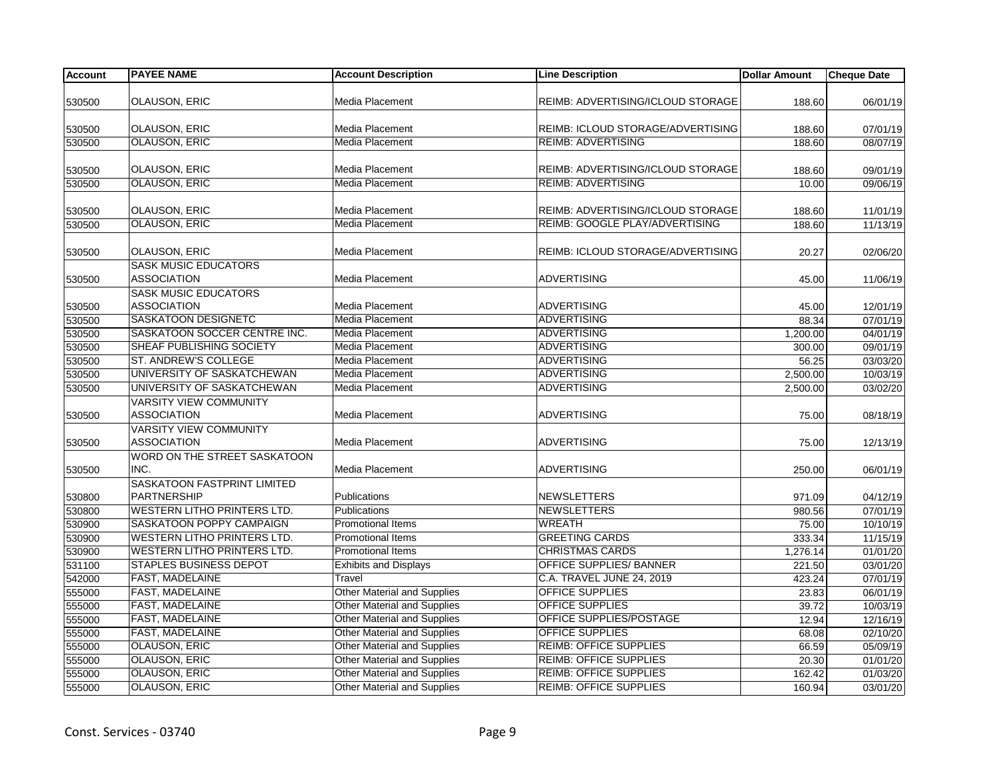| <b>Account</b> | <b>PAYEE NAME</b>                  | <b>Account Description</b>         | <b>Line Description</b>           | <b>Dollar Amount</b> | <b>Cheque Date</b> |
|----------------|------------------------------------|------------------------------------|-----------------------------------|----------------------|--------------------|
|                |                                    |                                    |                                   |                      |                    |
| 530500         | <b>OLAUSON, ERIC</b>               | Media Placement                    | REIMB: ADVERTISING/ICLOUD STORAGE | 188.60               | 06/01/19           |
| 530500         | <b>OLAUSON, ERIC</b>               | Media Placement                    | REIMB: ICLOUD STORAGE/ADVERTISING | 188.60               | 07/01/19           |
| 530500         | <b>OLAUSON, ERIC</b>               | Media Placement                    | <b>REIMB: ADVERTISING</b>         | 188.60               | 08/07/19           |
|                |                                    |                                    |                                   |                      |                    |
| 530500         | <b>OLAUSON, ERIC</b>               | Media Placement                    | REIMB: ADVERTISING/ICLOUD STORAGE | 188.60               | 09/01/19           |
| 530500         | <b>OLAUSON, ERIC</b>               | <b>Media Placement</b>             | <b>REIMB: ADVERTISING</b>         | 10.00                | 09/06/19           |
|                |                                    |                                    |                                   |                      |                    |
| 530500         | <b>OLAUSON, ERIC</b>               | Media Placement                    | REIMB: ADVERTISING/ICLOUD STORAGE | 188.60               | 11/01/19           |
| 530500         | <b>OLAUSON, ERIC</b>               | Media Placement                    | REIMB: GOOGLE PLAY/ADVERTISING    | 188.60               | 11/13/19           |
|                |                                    |                                    |                                   |                      |                    |
| 530500         | OLAUSON, ERIC                      | Media Placement                    | REIMB: ICLOUD STORAGE/ADVERTISING | 20.27                | 02/06/20           |
|                | <b>SASK MUSIC EDUCATORS</b>        |                                    |                                   |                      |                    |
| 530500         | <b>ASSOCIATION</b>                 | Media Placement                    | <b>ADVERTISING</b>                | 45.00                | 11/06/19           |
|                | <b>SASK MUSIC EDUCATORS</b>        |                                    |                                   |                      |                    |
| 530500         | <b>ASSOCIATION</b>                 | <b>Media Placement</b>             | <b>ADVERTISING</b>                | 45.00                | 12/01/19           |
| 530500         | SASKATOON DESIGNETC                | Media Placement                    | <b>ADVERTISING</b>                | 88.34                | 07/01/19           |
| 530500         | SASKATOON SOCCER CENTRE INC.       | Media Placement                    | <b>ADVERTISING</b>                | 1,200.00             | 04/01/19           |
| 530500         | SHEAF PUBLISHING SOCIETY           | <b>Media Placement</b>             | <b>ADVERTISING</b>                | 300.00               | 09/01/19           |
| 530500         | ST. ANDREW'S COLLEGE               | Media Placement                    | <b>ADVERTISING</b>                | 56.25                | 03/03/20           |
| 530500         | UNIVERSITY OF SASKATCHEWAN         | Media Placement                    | <b>ADVERTISING</b>                | 2,500.00             | 10/03/19           |
| 530500         | UNIVERSITY OF SASKATCHEWAN         | Media Placement                    | <b>ADVERTISING</b>                | 2,500.00             | 03/02/20           |
|                | <b>VARSITY VIEW COMMUNITY</b>      |                                    |                                   |                      |                    |
| 530500         | <b>ASSOCIATION</b>                 | Media Placement                    | <b>ADVERTISING</b>                | 75.00                | 08/18/19           |
|                | <b>VARSITY VIEW COMMUNITY</b>      |                                    |                                   |                      |                    |
| 530500         | <b>ASSOCIATION</b>                 | Media Placement                    | <b>ADVERTISING</b>                | 75.00                | 12/13/19           |
|                | WORD ON THE STREET SASKATOON       |                                    |                                   |                      |                    |
| 530500         | INC.                               | <b>Media Placement</b>             | <b>ADVERTISING</b>                | 250.00               | 06/01/19           |
|                | <b>SASKATOON FASTPRINT LIMITED</b> |                                    |                                   |                      |                    |
| 530800         | <b>PARTNERSHIP</b>                 | Publications                       | <b>NEWSLETTERS</b>                | 971.09               | 04/12/19           |
| 530800         | WESTERN LITHO PRINTERS LTD.        | Publications                       | <b>NEWSLETTERS</b>                | 980.56               | 07/01/19           |
| 530900         | SASKATOON POPPY CAMPAIGN           | <b>Promotional Items</b>           | <b>WREATH</b>                     | 75.00                | 10/10/19           |
| 530900         | <b>WESTERN LITHO PRINTERS LTD.</b> | <b>Promotional Items</b>           | <b>GREETING CARDS</b>             | 333.34               | 11/15/19           |
| 530900         | <b>WESTERN LITHO PRINTERS LTD.</b> | <b>Promotional Items</b>           | <b>CHRISTMAS CARDS</b>            | 1,276.14             | 01/01/20           |
| 531100         | <b>STAPLES BUSINESS DEPOT</b>      | <b>Exhibits and Displays</b>       | <b>OFFICE SUPPLIES/ BANNER</b>    | 221.50               | 03/01/20           |
|                | <b>FAST, MADELAINE</b>             | Travel                             | C.A. TRAVEL JUNE 24, 2019         |                      |                    |
| 542000         |                                    |                                    |                                   | 423.24               | 07/01/19           |
| 555000         | <b>FAST, MADELAINE</b>             | <b>Other Material and Supplies</b> | OFFICE SUPPLIES                   | 23.83                | 06/01/19           |
| 555000         | <b>FAST, MADELAINE</b>             | <b>Other Material and Supplies</b> | OFFICE SUPPLIES                   | 39.72                | 10/03/19           |
| 555000         | <b>FAST, MADELAINE</b>             | <b>Other Material and Supplies</b> | OFFICE SUPPLIES/POSTAGE           | 12.94                | 12/16/19           |
| 555000         | <b>FAST, MADELAINE</b>             | <b>Other Material and Supplies</b> | <b>OFFICE SUPPLIES</b>            | 68.08                | 02/10/20           |
| 555000         | <b>OLAUSON, ERIC</b>               | <b>Other Material and Supplies</b> | <b>REIMB: OFFICE SUPPLIES</b>     | 66.59                | 05/09/19           |
| 555000         | <b>OLAUSON, ERIC</b>               | <b>Other Material and Supplies</b> | <b>REIMB: OFFICE SUPPLIES</b>     | 20.30                | 01/01/20           |
| 555000         | <b>OLAUSON, ERIC</b>               | <b>Other Material and Supplies</b> | <b>REIMB: OFFICE SUPPLIES</b>     | 162.42               | 01/03/20           |
| 555000         | <b>OLAUSON, ERIC</b>               | <b>Other Material and Supplies</b> | <b>REIMB: OFFICE SUPPLIES</b>     | 160.94               | 03/01/20           |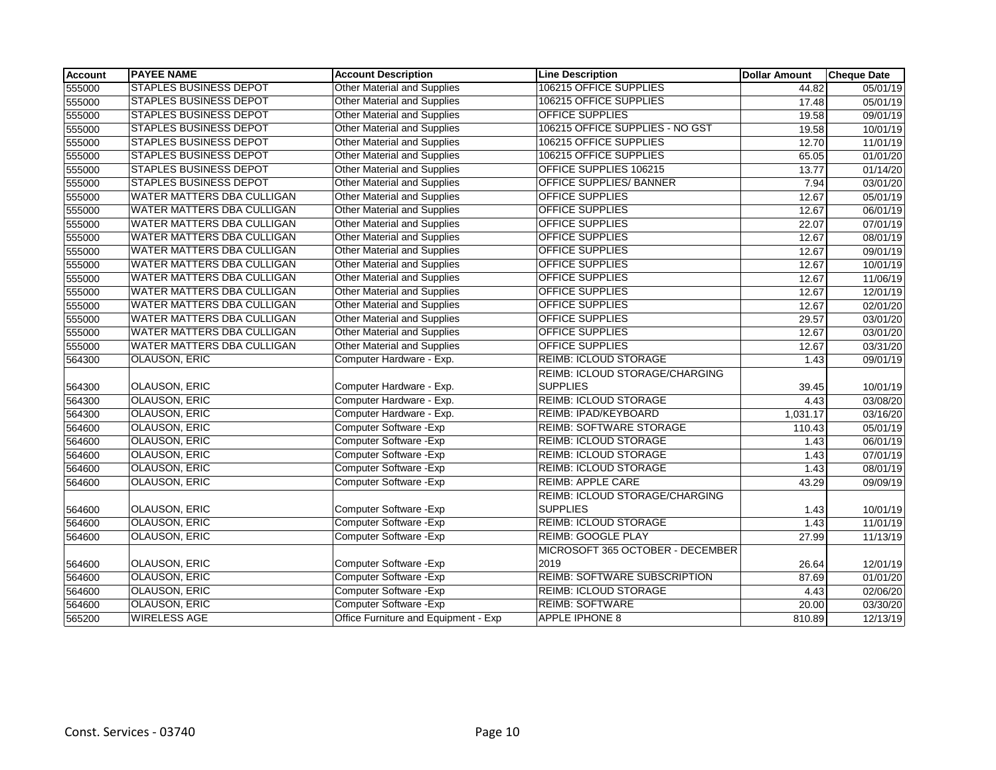| <b>Account</b> | <b>PAYEE NAME</b>                 | <b>Account Description</b>           | <b>Line Description</b>             | <b>Dollar Amount</b> | <b>Cheque Date</b> |
|----------------|-----------------------------------|--------------------------------------|-------------------------------------|----------------------|--------------------|
| 555000         | <b>STAPLES BUSINESS DEPOT</b>     | Other Material and Supplies          | 106215 OFFICE SUPPLIES              | 44.82                | 05/01/19           |
| 555000         | <b>STAPLES BUSINESS DEPOT</b>     | Other Material and Supplies          | 106215 OFFICE SUPPLIES              | 17.48                | 05/01/19           |
| 555000         | <b>STAPLES BUSINESS DEPOT</b>     | <b>Other Material and Supplies</b>   | <b>OFFICE SUPPLIES</b>              | 19.58                | 09/01/19           |
| 555000         | <b>STAPLES BUSINESS DEPOT</b>     | <b>Other Material and Supplies</b>   | 106215 OFFICE SUPPLIES - NO GST     | 19.58                | 10/01/19           |
| 555000         | <b>STAPLES BUSINESS DEPOT</b>     | Other Material and Supplies          | 106215 OFFICE SUPPLIES              | 12.70                | 11/01/19           |
| 555000         | <b>STAPLES BUSINESS DEPOT</b>     | <b>Other Material and Supplies</b>   | 106215 OFFICE SUPPLIES              | 65.05                | 01/01/20           |
| 555000         | <b>STAPLES BUSINESS DEPOT</b>     | Other Material and Supplies          | OFFICE SUPPLIES 106215              | 13.77                | 01/14/20           |
| 555000         | <b>STAPLES BUSINESS DEPOT</b>     | Other Material and Supplies          | <b>OFFICE SUPPLIES/ BANNER</b>      | 7.94                 | 03/01/20           |
| 555000         | WATER MATTERS DBA CULLIGAN        | <b>Other Material and Supplies</b>   | <b>OFFICE SUPPLIES</b>              | 12.67                | 05/01/19           |
| 555000         | WATER MATTERS DBA CULLIGAN        | <b>Other Material and Supplies</b>   | <b>OFFICE SUPPLIES</b>              | 12.67                | 06/01/19           |
| 555000         | WATER MATTERS DBA CULLIGAN        | <b>Other Material and Supplies</b>   | <b>OFFICE SUPPLIES</b>              | 22.07                | 07/01/19           |
| 555000         | WATER MATTERS DBA CULLIGAN        | Other Material and Supplies          | <b>OFFICE SUPPLIES</b>              | 12.67                | 08/01/19           |
| 555000         | WATER MATTERS DBA CULLIGAN        | <b>Other Material and Supplies</b>   | <b>OFFICE SUPPLIES</b>              | 12.67                | 09/01/19           |
| 555000         | WATER MATTERS DBA CULLIGAN        | Other Material and Supplies          | <b>OFFICE SUPPLIES</b>              | 12.67                | 10/01/19           |
| 555000         | WATER MATTERS DBA CULLIGAN        | <b>Other Material and Supplies</b>   | <b>OFFICE SUPPLIES</b>              | 12.67                | 11/06/19           |
| 555000         | WATER MATTERS DBA CULLIGAN        | <b>Other Material and Supplies</b>   | <b>OFFICE SUPPLIES</b>              | 12.67                | 12/01/19           |
| 555000         | <b>WATER MATTERS DBA CULLIGAN</b> | Other Material and Supplies          | <b>OFFICE SUPPLIES</b>              | 12.67                | 02/01/20           |
| 555000         | <b>WATER MATTERS DBA CULLIGAN</b> | <b>Other Material and Supplies</b>   | <b>OFFICE SUPPLIES</b>              | 29.57                | 03/01/20           |
| 555000         | WATER MATTERS DBA CULLIGAN        | <b>Other Material and Supplies</b>   | <b>OFFICE SUPPLIES</b>              | 12.67                | 03/01/20           |
| 555000         | <b>WATER MATTERS DBA CULLIGAN</b> | <b>Other Material and Supplies</b>   | <b>OFFICE SUPPLIES</b>              | 12.67                | 03/31/20           |
| 564300         | <b>OLAUSON, ERIC</b>              | Computer Hardware - Exp.             | <b>REIMB: ICLOUD STORAGE</b>        | 1.43                 | 09/01/19           |
|                |                                   |                                      | REIMB: ICLOUD STORAGE/CHARGING      |                      |                    |
| 564300         | <b>OLAUSON, ERIC</b>              | Computer Hardware - Exp.             | <b>SUPPLIES</b>                     | 39.45                | 10/01/19           |
| 564300         | <b>OLAUSON, ERIC</b>              | Computer Hardware - Exp.             | <b>REIMB: ICLOUD STORAGE</b>        | 4.43                 | 03/08/20           |
| 564300         | <b>OLAUSON, ERIC</b>              | Computer Hardware - Exp.             | REIMB: IPAD/KEYBOARD                | 1,031.17             | 03/16/20           |
| 564600         | <b>OLAUSON, ERIC</b>              | Computer Software - Exp              | <b>REIMB: SOFTWARE STORAGE</b>      | 110.43               | 05/01/19           |
| 564600         | <b>OLAUSON, ERIC</b>              | Computer Software - Exp              | <b>REIMB: ICLOUD STORAGE</b>        | 1.43                 | 06/01/19           |
| 564600         | <b>OLAUSON, ERIC</b>              | Computer Software - Exp              | <b>REIMB: ICLOUD STORAGE</b>        | 1.43                 | 07/01/19           |
| 564600         | <b>OLAUSON, ERIC</b>              | Computer Software - Exp              | <b>REIMB: ICLOUD STORAGE</b>        | 1.43                 | 08/01/19           |
| 564600         | <b>OLAUSON, ERIC</b>              | Computer Software - Exp              | <b>REIMB: APPLE CARE</b>            | 43.29                | 09/09/19           |
|                |                                   |                                      | REIMB: ICLOUD STORAGE/CHARGING      |                      |                    |
| 564600         | <b>OLAUSON, ERIC</b>              | Computer Software - Exp              | <b>SUPPLIES</b>                     | 1.43                 | 10/01/19           |
| 564600         | <b>OLAUSON, ERIC</b>              | Computer Software - Exp              | <b>REIMB: ICLOUD STORAGE</b>        | 1.43                 | 11/01/19           |
| 564600         | <b>OLAUSON, ERIC</b>              | Computer Software - Exp              | REIMB: GOOGLE PLAY                  | 27.99                | 11/13/19           |
|                |                                   |                                      | MICROSOFT 365 OCTOBER - DECEMBER    |                      |                    |
| 564600         | <b>OLAUSON, ERIC</b>              | Computer Software - Exp              | 2019                                | 26.64                | 12/01/19           |
| 564600         | <b>OLAUSON, ERIC</b>              | Computer Software - Exp              | <b>REIMB: SOFTWARE SUBSCRIPTION</b> | 87.69                | 01/01/20           |
| 564600         | <b>OLAUSON, ERIC</b>              | Computer Software - Exp              | <b>REIMB: ICLOUD STORAGE</b>        | 4.43                 | 02/06/20           |
| 564600         | <b>OLAUSON, ERIC</b>              | Computer Software - Exp              | <b>REIMB: SOFTWARE</b>              | 20.00                | 03/30/20           |
| 565200         | <b>WIRELESS AGE</b>               | Office Furniture and Equipment - Exp | <b>APPLE IPHONE 8</b>               | 810.89               | 12/13/19           |